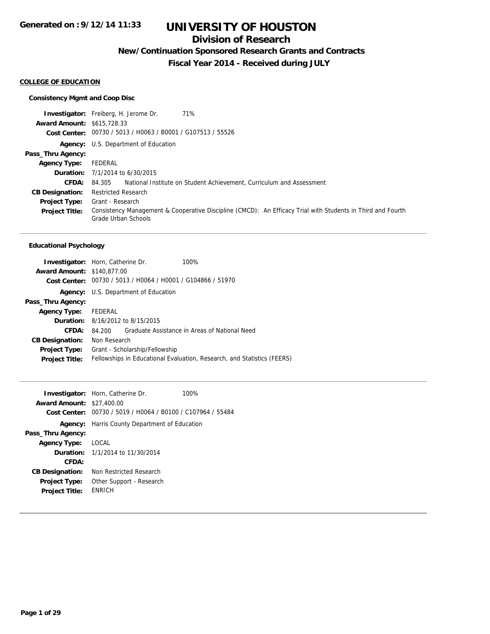## **Division of Research**

**New/Continuation Sponsored Research Grants and Contracts**

**Fiscal Year 2014 - Received during JULY**

#### **COLLEGE OF EDUCATION**

#### **Consistency Mgmt and Coop Disc**

**Investigator:** Freiberg, H. Jerome Dr. 71% **Award Amount:** \$615,728.33 **Cost Center:** 00730 / 5013 / H0063 / B0001 / G107513 / 55526 **Agency:** U.S. Department of Education **Pass\_Thru Agency: Agency Type:** FEDERAL **Duration:** 7/1/2014 to 6/30/2015 **CFDA:** 84.305 National Institute on Student Achievement, Curriculum and Assessment **CB Designation:** Restricted Research **Project Type:** Grant - Research **Project Title:** Consistency Management & Cooperative Discipline (CMCD): An Efficacy Trial with Students in Third and Fourth Grade Urban Schools

#### **Educational Psychology**

| <b>Investigator:</b> Horn, Catherine Dr. |                                                                         |                                         | 100%                                          |
|------------------------------------------|-------------------------------------------------------------------------|-----------------------------------------|-----------------------------------------------|
| <b>Award Amount: \$140,877,00</b>        |                                                                         |                                         |                                               |
|                                          | Cost Center: 00730 / 5013 / H0064 / H0001 / G104866 / 51970             |                                         |                                               |
|                                          | <b>Agency:</b> U.S. Department of Education                             |                                         |                                               |
| Pass_Thru Agency:                        |                                                                         |                                         |                                               |
| Agency Type: FEDERAL                     |                                                                         |                                         |                                               |
|                                          |                                                                         | <b>Duration:</b> 8/16/2012 to 8/15/2015 |                                               |
| CFDA:                                    | 84.200                                                                  |                                         | Graduate Assistance in Areas of National Need |
| <b>CB Designation:</b>                   | Non Research                                                            |                                         |                                               |
| <b>Project Type:</b>                     | Grant - Scholarship/Fellowship                                          |                                         |                                               |
| <b>Project Title:</b>                    | Fellowships in Educational Evaluation, Research, and Statistics (FEERS) |                                         |                                               |

| <b>Award Amount:</b><br>Cost Center:          | <b>Investigator:</b> Horn, Catherine Dr.<br>\$27,400.00<br>00730 / 5019 / H0064 / B0100 / C107964 / 55484 | 100% |
|-----------------------------------------------|-----------------------------------------------------------------------------------------------------------|------|
|                                               | <b>Agency:</b> Harris County Department of Education                                                      |      |
| Pass_Thru Agency:                             |                                                                                                           |      |
| <b>Agency Type:</b>                           | LOCAL                                                                                                     |      |
|                                               | <b>Duration:</b> 1/1/2014 to 11/30/2014                                                                   |      |
| CFDA:                                         |                                                                                                           |      |
| <b>CB Designation:</b>                        | Non Restricted Research                                                                                   |      |
| <b>Project Type:</b><br><b>Project Title:</b> | Other Support - Research<br><b>FNRICH</b>                                                                 |      |
|                                               |                                                                                                           |      |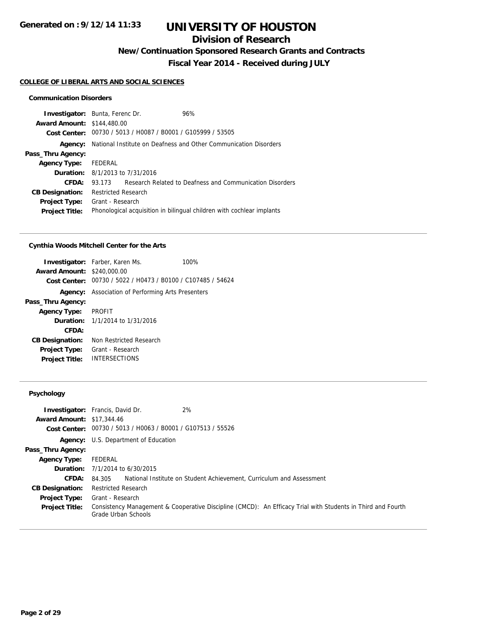# **Division of Research**

**New/Continuation Sponsored Research Grants and Contracts**

**Fiscal Year 2014 - Received during JULY**

#### **COLLEGE OF LIBERAL ARTS AND SOCIAL SCIENCES**

#### **Communication Disorders**

|                                   | <b>Investigator:</b> Bunta, Ferenc Dr.                           | 96%                                                                   |  |
|-----------------------------------|------------------------------------------------------------------|-----------------------------------------------------------------------|--|
| <b>Award Amount: \$144,480.00</b> |                                                                  |                                                                       |  |
|                                   | Cost Center: 00730 / 5013 / H0087 / B0001 / G105999 / 53505      |                                                                       |  |
| Agency:                           | National Institute on Deafness and Other Communication Disorders |                                                                       |  |
| Pass_Thru Agency:                 |                                                                  |                                                                       |  |
| <b>Agency Type:</b>               | FEDERAL                                                          |                                                                       |  |
|                                   | <b>Duration:</b> 8/1/2013 to 7/31/2016                           |                                                                       |  |
| CFDA:                             | 93 173                                                           | Research Related to Deafness and Communication Disorders              |  |
| <b>CB Designation:</b>            | <b>Restricted Research</b>                                       |                                                                       |  |
| <b>Project Type:</b>              | Grant - Research                                                 |                                                                       |  |
| <b>Project Title:</b>             |                                                                  | Phonological acquisition in bilingual children with cochlear implants |  |

#### **Cynthia Woods Mitchell Center for the Arts**

|                                   | <b>Investigator:</b> Farber, Karen Ms.                      | 100% |
|-----------------------------------|-------------------------------------------------------------|------|
| <b>Award Amount: \$240,000.00</b> |                                                             |      |
|                                   | Cost Center: 00730 / 5022 / H0473 / B0100 / C107485 / 54624 |      |
|                                   | <b>Agency:</b> Association of Performing Arts Presenters    |      |
| Pass_Thru Agency:                 |                                                             |      |
| <b>Agency Type: PROFIT</b>        |                                                             |      |
|                                   | <b>Duration:</b> 1/1/2014 to 1/31/2016                      |      |
| CFDA:                             |                                                             |      |
| <b>CB Designation:</b>            | Non Restricted Research                                     |      |
| Project Type:                     | Grant - Research                                            |      |
| <b>Project Title:</b>             | <b>INTERSECTIONS</b>                                        |      |

### **Psychology**

| <b>Award Amount: \$17,344.46</b> | 2%<br><b>Investigator:</b> Francis, David Dr.<br>Cost Center: 00730 / 5013 / H0063 / B0001 / G107513 / 55526                    |
|----------------------------------|---------------------------------------------------------------------------------------------------------------------------------|
|                                  | <b>Agency:</b> U.S. Department of Education                                                                                     |
| Pass_Thru Agency:                |                                                                                                                                 |
| Agency Type:                     | FEDERAL                                                                                                                         |
|                                  | <b>Duration:</b> 7/1/2014 to 6/30/2015                                                                                          |
| <b>CFDA:</b>                     | National Institute on Student Achievement, Curriculum and Assessment<br>84.305                                                  |
| <b>CB Designation:</b>           | <b>Restricted Research</b>                                                                                                      |
| Project Type:                    | Grant - Research<br>Consistency Management & Cooperative Discipline (CMCD): An Efficacy Trial with Students in Third and Fourth |
| <b>Project Title:</b>            | Grade Urban Schools                                                                                                             |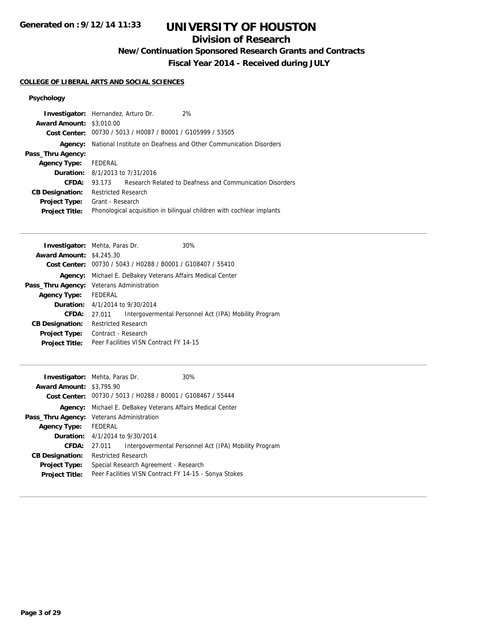# **UNIVERSITY OF HOUSTON**

## **Division of Research**

**New/Continuation Sponsored Research Grants and Contracts**

**Fiscal Year 2014 - Received during JULY**

#### **COLLEGE OF LIBERAL ARTS AND SOCIAL SCIENCES**

## **Psychology**

| <b>Award Amount: \$3,010.00</b> | <b>Investigator:</b> Hernandez, Arturo Dr.                       | 2%                                                                    |  |
|---------------------------------|------------------------------------------------------------------|-----------------------------------------------------------------------|--|
|                                 |                                                                  |                                                                       |  |
|                                 | Cost Center: 00730 / 5013 / H0087 / B0001 / G105999 / 53505      |                                                                       |  |
| Agency:                         | National Institute on Deafness and Other Communication Disorders |                                                                       |  |
| Pass_Thru Agency:               |                                                                  |                                                                       |  |
| <b>Agency Type:</b>             | FEDERAL                                                          |                                                                       |  |
|                                 | <b>Duration:</b> $8/1/2013$ to $7/31/2016$                       |                                                                       |  |
| CFDA:                           | 93.173                                                           | Research Related to Deafness and Communication Disorders              |  |
| <b>CB Designation:</b>          | <b>Restricted Research</b>                                       |                                                                       |  |
| <b>Project Type:</b>            | Grant - Research                                                 |                                                                       |  |
| <b>Project Title:</b>           |                                                                  | Phonological acquisition in bilingual children with cochlear implants |  |

| <b>Investigator:</b> Mehta, Paras Dr. |                                                             |  | 30%                                                   |
|---------------------------------------|-------------------------------------------------------------|--|-------------------------------------------------------|
| <b>Award Amount: \$4,245.30</b>       |                                                             |  |                                                       |
|                                       | Cost Center: 00730 / 5043 / H0288 / B0001 / G108407 / 55410 |  |                                                       |
| Agency:                               | Michael E. DeBakey Veterans Affairs Medical Center          |  |                                                       |
|                                       | Pass_Thru Agency: Veterans Administration                   |  |                                                       |
| <b>Agency Type:</b>                   | FEDERAL                                                     |  |                                                       |
|                                       | <b>Duration:</b> $4/1/2014$ to $9/30/2014$                  |  |                                                       |
| <b>CFDA:</b>                          | 27.011                                                      |  | Intergovermental Personnel Act (IPA) Mobility Program |
| <b>CB Designation:</b>                | <b>Restricted Research</b>                                  |  |                                                       |
| <b>Project Type:</b>                  | Contract - Research                                         |  |                                                       |
| <b>Project Title:</b>                 | Peer Facilities VISN Contract FY 14-15                      |  |                                                       |
|                                       |                                                             |  |                                                       |

| <b>Investigator:</b> Mehta, Paras Dr.<br><b>Award Amount: \$3,795.90</b> |                                                       | Cost Center: 00730 / 5013 / H0288 / B0001 / G108467 / 55444 | 30%                                                   |
|--------------------------------------------------------------------------|-------------------------------------------------------|-------------------------------------------------------------|-------------------------------------------------------|
| Agency:                                                                  | Michael E. DeBakey Veterans Affairs Medical Center    |                                                             |                                                       |
|                                                                          | Pass_Thru Agency: Veterans Administration             |                                                             |                                                       |
| <b>Agency Type:</b>                                                      | <b>FEDERAL</b>                                        |                                                             |                                                       |
|                                                                          | <b>Duration:</b> 4/1/2014 to 9/30/2014                |                                                             |                                                       |
| CFDA:                                                                    | 27.011                                                |                                                             | Intergovermental Personnel Act (IPA) Mobility Program |
| <b>CB Designation:</b>                                                   | <b>Restricted Research</b>                            |                                                             |                                                       |
| <b>Project Type:</b>                                                     | Special Research Agreement - Research                 |                                                             |                                                       |
| <b>Project Title:</b>                                                    | Peer Facilities VISN Contract FY 14-15 - Sonya Stokes |                                                             |                                                       |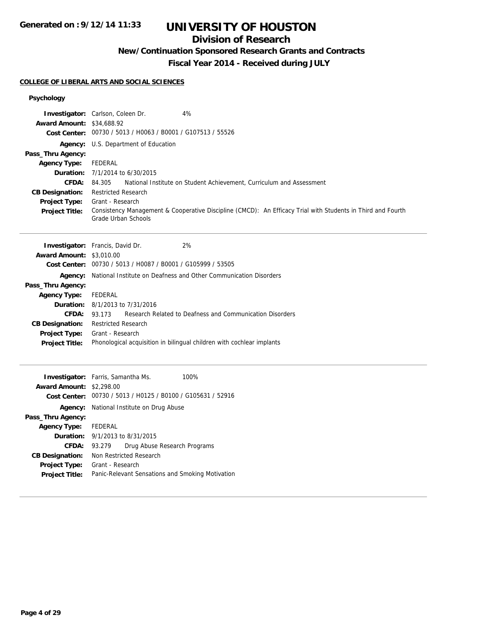# **UNIVERSITY OF HOUSTON**

## **Division of Research**

**New/Continuation Sponsored Research Grants and Contracts**

**Fiscal Year 2014 - Received during JULY**

### **COLLEGE OF LIBERAL ARTS AND SOCIAL SCIENCES**

## **Psychology**

| <b>Award Amount: \$34,688.92</b><br>Pass_Thru Agency:<br><b>Agency Type:</b><br>CFDA:<br><b>CB Designation:</b><br><b>Project Type:</b><br>Project Title:                         | Investigator: Carlson, Coleen Dr.<br>4%<br>Cost Center: 00730 / 5013 / H0063 / B0001 / G107513 / 55526<br>Agency: U.S. Department of Education<br>FEDERAL<br><b>Duration:</b> 7/1/2014 to 6/30/2015<br>84.305<br>National Institute on Student Achievement, Curriculum and Assessment<br><b>Restricted Research</b><br>Grant - Research<br>Consistency Management & Cooperative Discipline (CMCD): An Efficacy Trial with Students in Third and Fourth<br>Grade Urban Schools |
|-----------------------------------------------------------------------------------------------------------------------------------------------------------------------------------|-------------------------------------------------------------------------------------------------------------------------------------------------------------------------------------------------------------------------------------------------------------------------------------------------------------------------------------------------------------------------------------------------------------------------------------------------------------------------------|
| <b>Award Amount: \$3,010.00</b><br>Agency:<br>Pass_Thru Agency:<br><b>Agency Type:</b><br>CFDA: 93.173<br><b>CB Designation:</b><br><b>Project Type:</b><br><b>Project Title:</b> | 2%<br>Investigator: Francis, David Dr.<br>Cost Center: 00730 / 5013 / H0087 / B0001 / G105999 / 53505<br>National Institute on Deafness and Other Communication Disorders<br>FEDERAL<br><b>Duration:</b> 8/1/2013 to 7/31/2016<br>Research Related to Deafness and Communication Disorders<br><b>Restricted Research</b><br>Grant - Research<br>Phonological acquisition in bilingual children with cochlear implants                                                         |
| <b>Award Amount: \$2,298.00</b><br>Pass_Thru Agency:<br><b>Agency Type:</b><br>CFDA: 93.279<br><b>CB Designation:</b><br><b>Project Type:</b><br><b>Project Title:</b>            | 100%<br>Investigator: Farris, Samantha Ms.<br>Cost Center: 00730 / 5013 / H0125 / B0100 / G105631 / 52916<br><b>Agency:</b> National Institute on Drug Abuse<br><b>FEDERAL</b><br><b>Duration:</b> 9/1/2013 to 8/31/2015<br>Drug Abuse Research Programs<br>Non Restricted Research<br>Grant - Research<br>Panic-Relevant Sensations and Smoking Motivation                                                                                                                   |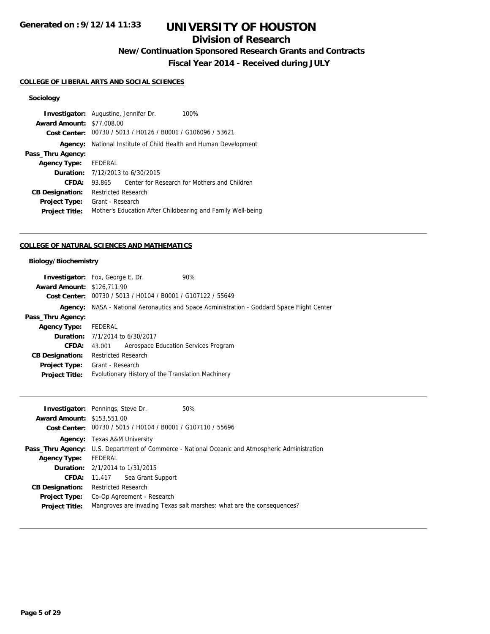# **UNIVERSITY OF HOUSTON**

## **Division of Research**

**New/Continuation Sponsored Research Grants and Contracts**

**Fiscal Year 2014 - Received during JULY**

### **COLLEGE OF LIBERAL ARTS AND SOCIAL SCIENCES**

## **Sociology**

|                                  | <b>Investigator:</b> Augustine, Jennifer Dr.<br>100%        |
|----------------------------------|-------------------------------------------------------------|
| <b>Award Amount: \$77,008.00</b> |                                                             |
| Cost Center:                     | 00730 / 5013 / H0126 / B0001 / G106096 / 53621              |
| Agency:                          | National Institute of Child Health and Human Development    |
| Pass_Thru Agency:                |                                                             |
| Agency Type: FEDERAL             |                                                             |
|                                  | <b>Duration:</b> 7/12/2013 to 6/30/2015                     |
| CFDA:                            | Center for Research for Mothers and Children<br>93.865      |
| <b>CB Designation:</b>           | <b>Restricted Research</b>                                  |
| <b>Project Type:</b>             | Grant - Research                                            |
| <b>Project Title:</b>            | Mother's Education After Childbearing and Family Well-being |

### **COLLEGE OF NATURAL SCIENCES AND MATHEMATICS**

## **Biology/Biochemistry**

|                                   | <b>Investigator:</b> Fox, George E. Dr.                     | 90%                                                                                               |
|-----------------------------------|-------------------------------------------------------------|---------------------------------------------------------------------------------------------------|
| <b>Award Amount: \$126,711.90</b> |                                                             |                                                                                                   |
|                                   | Cost Center: 00730 / 5013 / H0104 / B0001 / G107122 / 55649 |                                                                                                   |
|                                   |                                                             | <b>Agency:</b> NASA - National Aeronautics and Space Administration - Goddard Space Flight Center |
|                                   |                                                             |                                                                                                   |
| Pass_Thru Agency:                 |                                                             |                                                                                                   |
| <b>Agency Type:</b>               | FEDERAL                                                     |                                                                                                   |
|                                   | <b>Duration:</b> 7/1/2014 to 6/30/2017                      |                                                                                                   |
| <b>CFDA:</b>                      | Aerospace Education Services Program<br>43.001              |                                                                                                   |
| <b>CB Designation:</b>            | <b>Restricted Research</b>                                  |                                                                                                   |
| <b>Project Type:</b>              | Grant - Research                                            |                                                                                                   |
| <b>Project Title:</b>             | Evolutionary History of the Translation Machinery           |                                                                                                   |
|                                   |                                                             |                                                                                                   |

|                                   | <b>Investigator:</b> Pennings, Steve Dr.                    | 50%                                                                                                    |  |
|-----------------------------------|-------------------------------------------------------------|--------------------------------------------------------------------------------------------------------|--|
| <b>Award Amount: \$153,551.00</b> |                                                             |                                                                                                        |  |
|                                   | Cost Center: 00730 / 5015 / H0104 / B0001 / G107110 / 55696 |                                                                                                        |  |
|                                   | <b>Agency:</b> Texas A&M University                         |                                                                                                        |  |
|                                   |                                                             | <b>Pass_Thru Agency:</b> U.S. Department of Commerce - National Oceanic and Atmospheric Administration |  |
| <b>Agency Type:</b>               | FEDERAL                                                     |                                                                                                        |  |
|                                   | <b>Duration:</b> $2/1/2014$ to $1/31/2015$                  |                                                                                                        |  |
|                                   | <b>CFDA:</b> 11.417 Sea Grant Support                       |                                                                                                        |  |
| <b>CB Designation:</b>            | <b>Restricted Research</b>                                  |                                                                                                        |  |
| <b>Project Type:</b>              | Co-Op Agreement - Research                                  |                                                                                                        |  |
| <b>Project Title:</b>             |                                                             | Mangroves are invading Texas salt marshes: what are the consequences?                                  |  |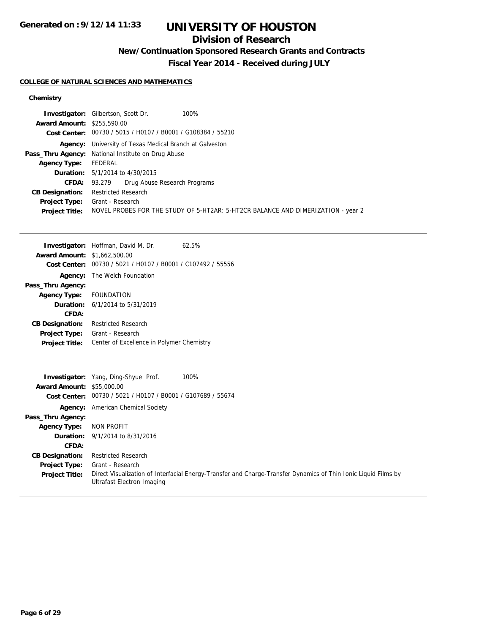# **UNIVERSITY OF HOUSTON**

## **Division of Research**

**New/Continuation Sponsored Research Grants and Contracts**

**Fiscal Year 2014 - Received during JULY**

### **COLLEGE OF NATURAL SCIENCES AND MATHEMATICS**

### **Chemistry**

|                                   | 100%<br><b>Investigator:</b> Gilbertson, Scott Dr.                               |
|-----------------------------------|----------------------------------------------------------------------------------|
| <b>Award Amount: \$255,590.00</b> |                                                                                  |
|                                   | Cost Center: 00730 / 5015 / H0107 / B0001 / G108384 / 55210                      |
| Agency:                           | University of Texas Medical Branch at Galveston                                  |
|                                   | <b>Pass_Thru Agency:</b> National Institute on Drug Abuse                        |
| <b>Agency Type:</b>               | FEDERAL                                                                          |
|                                   | <b>Duration:</b> 5/1/2014 to 4/30/2015                                           |
|                                   | Drug Abuse Research Programs<br><b>CFDA:</b> 93.279                              |
| <b>CB Designation:</b>            | <b>Restricted Research</b>                                                       |
|                                   | <b>Project Type:</b> Grant - Research                                            |
| <b>Project Title:</b>             | NOVEL PROBES FOR THE STUDY OF 5-HT2AR: 5-HT2CR BALANCE AND DIMERIZATION - year 2 |

|                        | <b>Investigator:</b> Hoffman, David M. Dr.<br>62.5% |  |  |
|------------------------|-----------------------------------------------------|--|--|
| <b>Award Amount:</b>   | \$1,662,500.00                                      |  |  |
| Cost Center:           | 00730 / 5021 / H0107 / B0001 / C107492 / 55556      |  |  |
| Agency:                | The Welch Foundation                                |  |  |
| Pass_Thru Agency:      |                                                     |  |  |
| <b>Agency Type:</b>    | <b>FOUNDATION</b>                                   |  |  |
|                        | <b>Duration:</b> 6/1/2014 to 5/31/2019              |  |  |
| CFDA:                  |                                                     |  |  |
| <b>CB Designation:</b> | Restricted Research                                 |  |  |
| <b>Project Type:</b>   | Grant - Research                                    |  |  |
| <b>Project Title:</b>  | Center of Excellence in Polymer Chemistry           |  |  |
|                        |                                                     |  |  |

|                                  | 100%<br><b>Investigator:</b> Yang, Ding-Shyue Prof.                                                                                          |  |
|----------------------------------|----------------------------------------------------------------------------------------------------------------------------------------------|--|
| <b>Award Amount: \$55,000.00</b> |                                                                                                                                              |  |
|                                  | Cost Center: 00730 / 5021 / H0107 / B0001 / G107689 / 55674                                                                                  |  |
|                                  | <b>Agency:</b> American Chemical Society                                                                                                     |  |
| Pass_Thru Agency:                |                                                                                                                                              |  |
| <b>Agency Type:</b>              | NON PROFIT                                                                                                                                   |  |
|                                  | <b>Duration:</b> 9/1/2014 to 8/31/2016                                                                                                       |  |
| CFDA:                            |                                                                                                                                              |  |
| <b>CB Designation:</b>           | <b>Restricted Research</b>                                                                                                                   |  |
| <b>Project Type:</b>             | Grant - Research                                                                                                                             |  |
| <b>Project Title:</b>            | Direct Visualization of Interfacial Energy-Transfer and Charge-Transfer Dynamics of Thin Ionic Liquid Films by<br>Ultrafast Electron Imaging |  |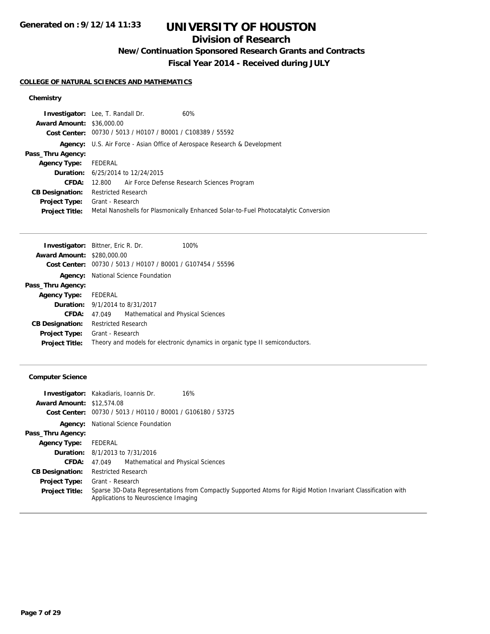# **UNIVERSITY OF HOUSTON**

# **Division of Research**

**New/Continuation Sponsored Research Grants and Contracts**

**Fiscal Year 2014 - Received during JULY**

### **COLLEGE OF NATURAL SCIENCES AND MATHEMATICS**

## **Chemistry**

|                                  | <b>Investigator:</b> Lee, T. Randall Dr.<br>60%                                     |  |  |  |
|----------------------------------|-------------------------------------------------------------------------------------|--|--|--|
| <b>Award Amount: \$36,000.00</b> |                                                                                     |  |  |  |
|                                  | Cost Center: 00730 / 5013 / H0107 / B0001 / C108389 / 55592                         |  |  |  |
|                                  | <b>Agency:</b> U.S. Air Force - Asian Office of Aerospace Research & Development    |  |  |  |
| Pass_Thru Agency:                |                                                                                     |  |  |  |
| <b>Agency Type:</b>              | FEDERAL                                                                             |  |  |  |
|                                  | <b>Duration:</b> 6/25/2014 to 12/24/2015                                            |  |  |  |
| CFDA:                            | 12.800 Air Force Defense Research Sciences Program                                  |  |  |  |
| <b>CB Designation:</b>           | <b>Restricted Research</b>                                                          |  |  |  |
|                                  | <b>Project Type:</b> Grant - Research                                               |  |  |  |
| <b>Project Title:</b>            | Metal Nanoshells for Plasmonically Enhanced Solar-to-Fuel Photocatalytic Conversion |  |  |  |

| <b>Investigator:</b> Bittner, Eric R. Dr. |                                                                              |                                    | 100% |  |
|-------------------------------------------|------------------------------------------------------------------------------|------------------------------------|------|--|
| <b>Award Amount: \$280,000.00</b>         |                                                                              |                                    |      |  |
|                                           | Cost Center: 00730 / 5013 / H0107 / B0001 / G107454 / 55596                  |                                    |      |  |
|                                           | <b>Agency:</b> National Science Foundation                                   |                                    |      |  |
| Pass_Thru Agency:                         |                                                                              |                                    |      |  |
| Agency Type: FEDERAL                      |                                                                              |                                    |      |  |
|                                           | <b>Duration:</b> 9/1/2014 to 8/31/2017                                       |                                    |      |  |
| <b>CFDA:</b>                              | 47.049                                                                       | Mathematical and Physical Sciences |      |  |
| <b>CB Designation:</b>                    | Restricted Research                                                          |                                    |      |  |
|                                           | <b>Project Type:</b> Grant - Research                                        |                                    |      |  |
| <b>Project Title:</b>                     | Theory and models for electronic dynamics in organic type II semiconductors. |                                    |      |  |

### **Computer Science**

|                                  | <b>Investigator:</b> Kakadiaris, Ioannis Dr.<br>16%                                                                                                  |  |  |
|----------------------------------|------------------------------------------------------------------------------------------------------------------------------------------------------|--|--|
| <b>Award Amount: \$12,574.08</b> |                                                                                                                                                      |  |  |
|                                  | Cost Center: 00730 / 5013 / H0110 / B0001 / G106180 / 53725                                                                                          |  |  |
|                                  | <b>Agency:</b> National Science Foundation                                                                                                           |  |  |
| Pass_Thru Agency:                |                                                                                                                                                      |  |  |
| <b>Agency Type:</b>              | FEDERAL                                                                                                                                              |  |  |
|                                  | <b>Duration:</b> 8/1/2013 to 7/31/2016                                                                                                               |  |  |
| <b>CFDA:</b>                     | Mathematical and Physical Sciences<br>47.049                                                                                                         |  |  |
| <b>CB Designation:</b>           | <b>Restricted Research</b>                                                                                                                           |  |  |
| <b>Project Type:</b>             | Grant - Research                                                                                                                                     |  |  |
| <b>Project Title:</b>            | Sparse 3D-Data Representations from Compactly Supported Atoms for Rigid Motion Invariant Classification with<br>Applications to Neuroscience Imaging |  |  |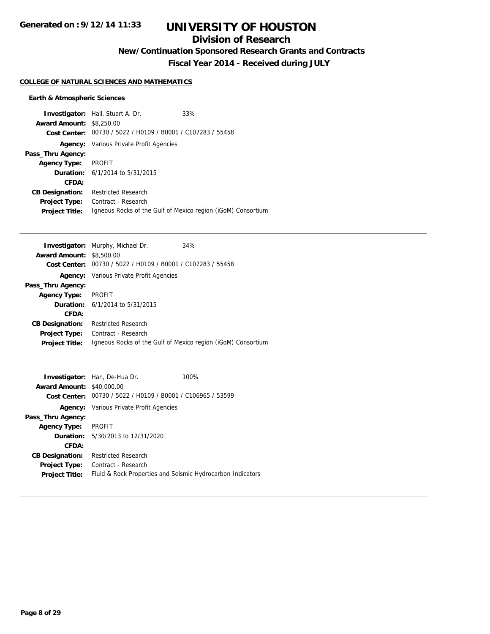# **UNIVERSITY OF HOUSTON**

## **Division of Research**

**New/Continuation Sponsored Research Grants and Contracts**

**Fiscal Year 2014 - Received during JULY**

#### **COLLEGE OF NATURAL SCIENCES AND MATHEMATICS**

### **Earth & Atmospheric Sciences**

|                                 | <b>Investigator:</b> Hall, Stuart A. Dr.                    | 33%                                                          |  |
|---------------------------------|-------------------------------------------------------------|--------------------------------------------------------------|--|
| <b>Award Amount: \$8,250.00</b> |                                                             |                                                              |  |
|                                 | Cost Center: 00730 / 5022 / H0109 / B0001 / C107283 / 55458 |                                                              |  |
|                                 | <b>Agency:</b> Various Private Profit Agencies              |                                                              |  |
| Pass_Thru Agency:               |                                                             |                                                              |  |
| <b>Agency Type:</b>             | <b>PROFIT</b>                                               |                                                              |  |
|                                 | <b>Duration:</b> 6/1/2014 to 5/31/2015                      |                                                              |  |
| CFDA:                           |                                                             |                                                              |  |
| <b>CB Designation:</b>          | <b>Restricted Research</b>                                  |                                                              |  |
| <b>Project Type:</b>            | Contract - Research                                         |                                                              |  |
| <b>Project Title:</b>           |                                                             | Igneous Rocks of the Gulf of Mexico region (iGoM) Consortium |  |

|                                                | 34%                                                                                                                                                       |
|------------------------------------------------|-----------------------------------------------------------------------------------------------------------------------------------------------------------|
| \$8,500.00                                     |                                                                                                                                                           |
| 00730 / 5022 / H0109 / B0001 / C107283 / 55458 |                                                                                                                                                           |
|                                                |                                                                                                                                                           |
|                                                |                                                                                                                                                           |
| <b>PROFIT</b>                                  |                                                                                                                                                           |
|                                                |                                                                                                                                                           |
|                                                |                                                                                                                                                           |
| <b>Restricted Research</b>                     |                                                                                                                                                           |
| Contract - Research                            |                                                                                                                                                           |
|                                                | Igneous Rocks of the Gulf of Mexico region (iGoM) Consortium                                                                                              |
|                                                | Investigator: Murphy, Michael Dr.<br><b>Award Amount:</b><br><b>Agency:</b> Various Private Profit Agencies<br><b>Duration:</b> $6/1/2014$ to $5/31/2015$ |

| <b>Award Amount: \$40,000.00</b> | <b>Investigator:</b> Han, De-Hua Dr.                        | 100% |  |
|----------------------------------|-------------------------------------------------------------|------|--|
|                                  | Cost Center: 00730 / 5022 / H0109 / B0001 / C106965 / 53599 |      |  |
|                                  | <b>Agency:</b> Various Private Profit Agencies              |      |  |
| Pass_Thru Agency:                |                                                             |      |  |
| <b>Agency Type:</b>              | <b>PROFIT</b>                                               |      |  |
|                                  | <b>Duration:</b> 5/30/2013 to 12/31/2020                    |      |  |
| CFDA:                            |                                                             |      |  |
| <b>CB Designation:</b>           | <b>Restricted Research</b>                                  |      |  |
| <b>Project Type:</b>             | Contract - Research                                         |      |  |
| <b>Project Title:</b>            | Fluid & Rock Properties and Seismic Hydrocarbon Indicators  |      |  |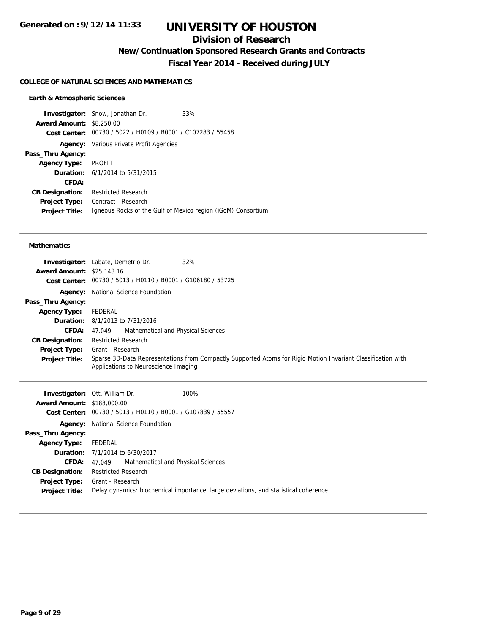## **Division of Research**

**New/Continuation Sponsored Research Grants and Contracts**

**Fiscal Year 2014 - Received during JULY**

#### **COLLEGE OF NATURAL SCIENCES AND MATHEMATICS**

#### **Earth & Atmospheric Sciences**

**Investigator:** Snow, Jonathan Dr. 33% **Award Amount:** \$8,250.00 **Cost Center:** 00730 / 5022 / H0109 / B0001 / C107283 / 55458 **Agency:** Various Private Profit Agencies **Pass\_Thru Agency: Agency Type:** PROFIT **Duration:** 6/1/2014 to 5/31/2015 **CFDA: CB Designation:** Restricted Research **Project Type:** Contract - Research **Project Title:** Igneous Rocks of the Gulf of Mexico region (iGoM) Consortium

#### **Mathematics**

| <b>Award Amount: \$25,148.16</b> | 32%<br><b>Investigator:</b> Labate, Demetrio Dr.<br>Cost Center: 00730 / 5013 / H0110 / B0001 / G106180 / 53725                                      |
|----------------------------------|------------------------------------------------------------------------------------------------------------------------------------------------------|
| Agency:                          | National Science Foundation                                                                                                                          |
| Pass_Thru Agency:                |                                                                                                                                                      |
| <b>Agency Type:</b>              | FEDERAL                                                                                                                                              |
|                                  | <b>Duration:</b> 8/1/2013 to 7/31/2016                                                                                                               |
| CFDA:                            | Mathematical and Physical Sciences<br>47.049                                                                                                         |
| <b>CB Designation:</b>           | <b>Restricted Research</b>                                                                                                                           |
| <b>Project Type:</b>             | Grant - Research                                                                                                                                     |
| <b>Project Title:</b>            | Sparse 3D-Data Representations from Compactly Supported Atoms for Rigid Motion Invariant Classification with<br>Applications to Neuroscience Imaging |

| <b>Award Amount: \$188,000.00</b> | <b>Investigator: Ott, William Dr.</b><br>100%<br>Cost Center: 00730 / 5013 / H0110 / B0001 / G107839 / 55557                 |  |  |  |  |
|-----------------------------------|------------------------------------------------------------------------------------------------------------------------------|--|--|--|--|
|                                   | <b>Agency:</b> National Science Foundation                                                                                   |  |  |  |  |
| Pass_Thru Agency:                 |                                                                                                                              |  |  |  |  |
| <b>Agency Type:</b>               | FEDERAL                                                                                                                      |  |  |  |  |
|                                   | <b>Duration:</b> 7/1/2014 to 6/30/2017                                                                                       |  |  |  |  |
| <b>CFDA:</b>                      | 47.049 Mathematical and Physical Sciences                                                                                    |  |  |  |  |
| <b>CB Designation:</b>            | <b>Restricted Research</b>                                                                                                   |  |  |  |  |
| <b>Project Title:</b>             | <b>Project Type:</b> Grant - Research<br>Delay dynamics: biochemical importance, large deviations, and statistical coherence |  |  |  |  |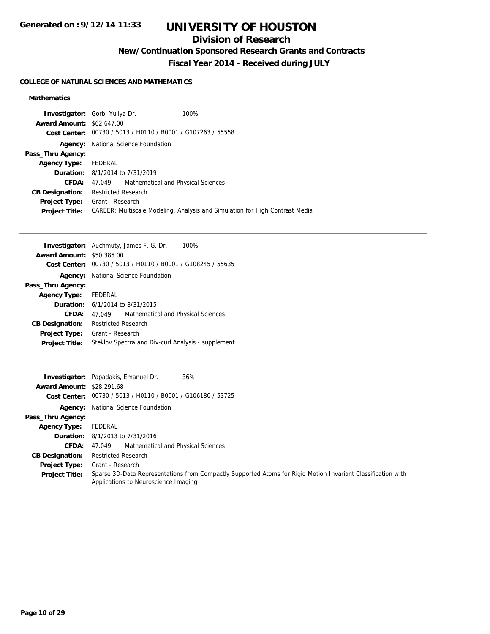# **UNIVERSITY OF HOUSTON**

## **Division of Research**

**New/Continuation Sponsored Research Grants and Contracts**

**Fiscal Year 2014 - Received during JULY**

### **COLLEGE OF NATURAL SCIENCES AND MATHEMATICS**

### **Mathematics**

| <b>Investigator:</b> Gorb, Yuliya Dr. |                                                             |                                    | 100%                                                                         |  |
|---------------------------------------|-------------------------------------------------------------|------------------------------------|------------------------------------------------------------------------------|--|
| <b>Award Amount: \$62,647.00</b>      |                                                             |                                    |                                                                              |  |
|                                       | Cost Center: 00730 / 5013 / H0110 / B0001 / G107263 / 55558 |                                    |                                                                              |  |
| Agency:                               | National Science Foundation                                 |                                    |                                                                              |  |
| Pass_Thru Agency:                     |                                                             |                                    |                                                                              |  |
| Agency Type: FEDERAL                  |                                                             |                                    |                                                                              |  |
|                                       | <b>Duration:</b> 8/1/2014 to 7/31/2019                      |                                    |                                                                              |  |
| <b>CFDA:</b>                          | 47.049                                                      | Mathematical and Physical Sciences |                                                                              |  |
| <b>CB Designation:</b>                | <b>Restricted Research</b>                                  |                                    |                                                                              |  |
| <b>Project Type:</b>                  | Grant - Research                                            |                                    |                                                                              |  |
| <b>Project Title:</b>                 |                                                             |                                    | CAREER: Multiscale Modeling, Analysis and Simulation for High Contrast Media |  |

|                        | <b>Investigator:</b> Auchmuty, James F. G. Dr.<br>100%      |  |
|------------------------|-------------------------------------------------------------|--|
| <b>Award Amount:</b>   | \$50,385.00                                                 |  |
|                        | Cost Center: 00730 / 5013 / H0110 / B0001 / G108245 / 55635 |  |
|                        | <b>Agency:</b> National Science Foundation                  |  |
| Pass_Thru Agency:      |                                                             |  |
| Agency Type: FEDERAL   |                                                             |  |
|                        | <b>Duration:</b> $6/1/2014$ to $8/31/2015$                  |  |
| CFDA:                  | Mathematical and Physical Sciences<br>47.049                |  |
| <b>CB Designation:</b> | <b>Restricted Research</b>                                  |  |
| <b>Project Type:</b>   | Grant - Research                                            |  |
| <b>Project Title:</b>  | Steklov Spectra and Div-curl Analysis - supplement          |  |

| <b>Award Amount: \$28,291.68</b> | 36%<br><b>Investigator:</b> Papadakis, Emanuel Dr.<br>Cost Center: 00730 / 5013 / H0110 / B0001 / G106180 / 53725                                    |  |  |
|----------------------------------|------------------------------------------------------------------------------------------------------------------------------------------------------|--|--|
|                                  | <b>Agency:</b> National Science Foundation                                                                                                           |  |  |
| Pass_Thru Agency:                |                                                                                                                                                      |  |  |
| Agency Type:                     | FEDERAL                                                                                                                                              |  |  |
|                                  | <b>Duration:</b> 8/1/2013 to 7/31/2016                                                                                                               |  |  |
| <b>CFDA:</b>                     | Mathematical and Physical Sciences<br>47.049                                                                                                         |  |  |
| <b>CB Designation:</b>           | <b>Restricted Research</b>                                                                                                                           |  |  |
| <b>Project Type:</b>             | Grant - Research                                                                                                                                     |  |  |
| <b>Project Title:</b>            | Sparse 3D-Data Representations from Compactly Supported Atoms for Rigid Motion Invariant Classification with<br>Applications to Neuroscience Imaging |  |  |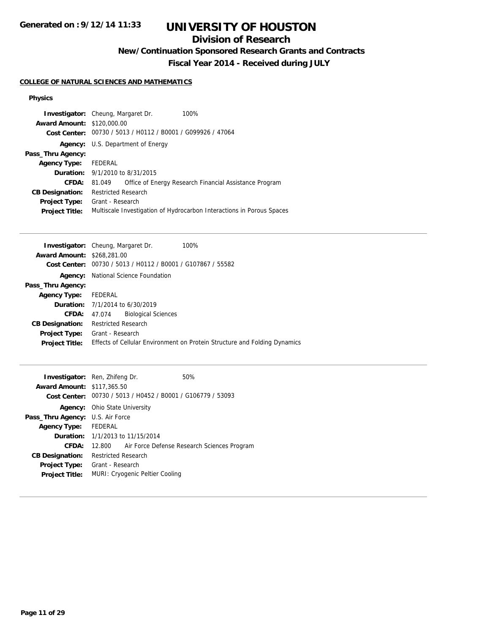# **UNIVERSITY OF HOUSTON**

## **Division of Research**

**New/Continuation Sponsored Research Grants and Contracts**

**Fiscal Year 2014 - Received during JULY**

### **COLLEGE OF NATURAL SCIENCES AND MATHEMATICS**

#### **Physics**

| <b>Award Amount: \$120,000.00</b> | <b>Investigator:</b> Cheung, Margaret Dr.<br>Cost Center: 00730 / 5013 / H0112 / B0001 / G099926 / 47064 | 100%                                                                  |
|-----------------------------------|----------------------------------------------------------------------------------------------------------|-----------------------------------------------------------------------|
|                                   | <b>Agency:</b> U.S. Department of Energy                                                                 |                                                                       |
| Pass_Thru Agency:                 |                                                                                                          |                                                                       |
| Agency Type: FEDERAL              |                                                                                                          |                                                                       |
|                                   | <b>Duration:</b> $9/1/2010$ to $8/31/2015$                                                               |                                                                       |
| <b>CFDA:</b>                      | 81.049                                                                                                   | Office of Energy Research Financial Assistance Program                |
| <b>CB Designation:</b>            | <b>Restricted Research</b>                                                                               |                                                                       |
| <b>Project Type:</b>              | Grant - Research                                                                                         |                                                                       |
| <b>Project Title:</b>             |                                                                                                          | Multiscale Investigation of Hydrocarbon Interactions in Porous Spaces |

| <b>Investigator:</b> Cheung, Margaret Dr.      | 100%                                                                      |  |
|------------------------------------------------|---------------------------------------------------------------------------|--|
| <b>Award Amount: \$268,281.00</b>              |                                                                           |  |
| 00730 / 5013 / H0112 / B0001 / G107867 / 55582 |                                                                           |  |
| National Science Foundation                    |                                                                           |  |
|                                                |                                                                           |  |
| FEDERAL                                        |                                                                           |  |
|                                                |                                                                           |  |
| <b>Biological Sciences</b><br>CFDA: 47.074     |                                                                           |  |
| <b>Restricted Research</b>                     |                                                                           |  |
| Grant - Research                               |                                                                           |  |
|                                                | Effects of Cellular Environment on Protein Structure and Folding Dynamics |  |
|                                                | <b>Duration:</b> 7/1/2014 to 6/30/2019                                    |  |

| <b>Investigator:</b> Ren, Zhifeng Dr.   |                                                             |                                         | 50%                                                |
|-----------------------------------------|-------------------------------------------------------------|-----------------------------------------|----------------------------------------------------|
| <b>Award Amount: \$117,365.50</b>       |                                                             |                                         |                                                    |
|                                         | Cost Center: 00730 / 5013 / H0452 / B0001 / G106779 / 53093 |                                         |                                                    |
|                                         | <b>Agency:</b> Ohio State University                        |                                         |                                                    |
| <b>Pass_Thru Agency: U.S. Air Force</b> |                                                             |                                         |                                                    |
| Agency Type: FEDERAL                    |                                                             |                                         |                                                    |
|                                         |                                                             | <b>Duration:</b> 1/1/2013 to 11/15/2014 |                                                    |
| CFDA:                                   |                                                             |                                         | 12.800 Air Force Defense Research Sciences Program |
| <b>CB Designation:</b>                  | <b>Restricted Research</b>                                  |                                         |                                                    |
| Project Type:                           | Grant - Research                                            |                                         |                                                    |
| <b>Project Title:</b>                   | MURI: Cryogenic Peltier Cooling                             |                                         |                                                    |
|                                         |                                                             |                                         |                                                    |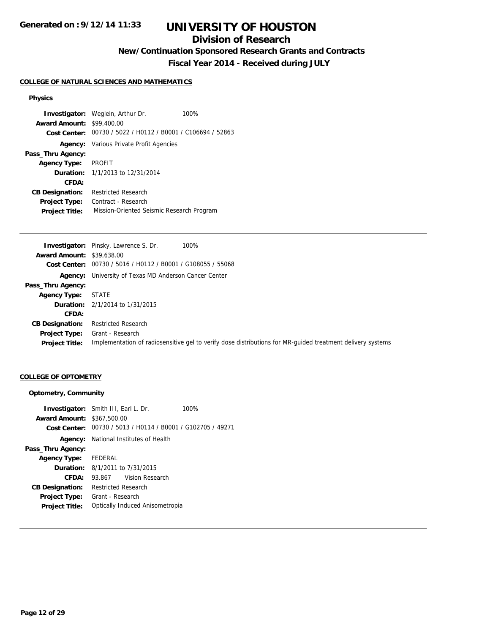# **UNIVERSITY OF HOUSTON**

## **Division of Research**

**New/Continuation Sponsored Research Grants and Contracts**

**Fiscal Year 2014 - Received during JULY**

#### **COLLEGE OF NATURAL SCIENCES AND MATHEMATICS**

#### **Physics**

**Investigator:** Weglein, Arthur Dr. 100% **Award Amount:** \$99,400.00 **Cost Center:** 00730 / 5022 / H0112 / B0001 / C106694 / 52863 **Agency:** Various Private Profit Agencies **Pass\_Thru Agency: Agency Type:** PROFIT **Duration:** 1/1/2013 to 12/31/2014 **CFDA: CB Designation:** Restricted Research **Project Type:** Contract - Research **Project Title:** Mission-Oriented Seismic Research Program

| <b>Award Amount: \$39,638.00</b>                                                                                                    |  |
|-------------------------------------------------------------------------------------------------------------------------------------|--|
| Cost Center: 00730 / 5016 / H0112 / B0001 / G108055 / 55068                                                                         |  |
| <b>Agency:</b> University of Texas MD Anderson Cancer Center                                                                        |  |
| Pass_Thru Agency:                                                                                                                   |  |
| Agency Type:<br><b>STATE</b>                                                                                                        |  |
| <b>Duration:</b> 2/1/2014 to 1/31/2015                                                                                              |  |
| CFDA:                                                                                                                               |  |
| <b>Restricted Research</b><br><b>CB Designation:</b>                                                                                |  |
| Grant - Research<br><b>Project Type:</b>                                                                                            |  |
| Implementation of radiosensitive gel to verify dose distributions for MR-quided treatment delivery systems<br><b>Project Title:</b> |  |

#### **COLLEGE OF OPTOMETRY**

#### **Optometry, Community**

|                                   | <b>Investigator:</b> Smith III, Earl L. Dr.                 | 100% |
|-----------------------------------|-------------------------------------------------------------|------|
| <b>Award Amount: \$367,500.00</b> |                                                             |      |
|                                   | Cost Center: 00730 / 5013 / H0114 / B0001 / G102705 / 49271 |      |
|                                   | <b>Agency:</b> National Institutes of Health                |      |
| Pass_Thru Agency:                 |                                                             |      |
| Agency Type: FEDERAL              |                                                             |      |
|                                   | <b>Duration:</b> 8/1/2011 to 7/31/2015                      |      |
| CFDA:                             | Vision Research<br>93.867                                   |      |
| <b>CB Designation:</b>            | <b>Restricted Research</b>                                  |      |
| Project Type:                     | Grant - Research                                            |      |
| <b>Project Title:</b>             | Optically Induced Anisometropia                             |      |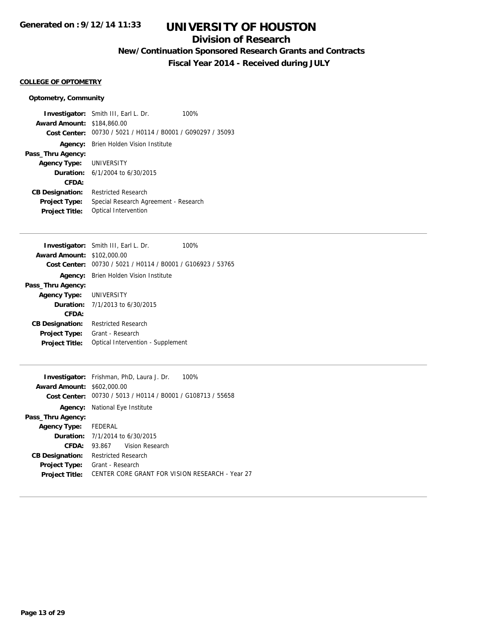## **Division of Research**

**New/Continuation Sponsored Research Grants and Contracts**

**Fiscal Year 2014 - Received during JULY**

#### **COLLEGE OF OPTOMETRY**

### **Optometry, Community**

|                                   | <b>Investigator:</b> Smith III, Earl L. Dr.                 | 100% |
|-----------------------------------|-------------------------------------------------------------|------|
| <b>Award Amount: \$184,860.00</b> |                                                             |      |
|                                   | Cost Center: 00730 / 5021 / H0114 / B0001 / G090297 / 35093 |      |
|                                   | <b>Agency:</b> Brien Holden Vision Institute                |      |
| Pass_Thru Agency:                 |                                                             |      |
| <b>Agency Type: UNIVERSITY</b>    |                                                             |      |
|                                   | <b>Duration:</b> $6/1/2004$ to $6/30/2015$                  |      |
| CFDA:                             |                                                             |      |
| <b>CB Designation:</b>            | <b>Restricted Research</b>                                  |      |
| <b>Project Type:</b>              | Special Research Agreement - Research                       |      |
| <b>Project Title:</b>             | Optical Intervention                                        |      |

| <b>Investigator:</b> Smith III, Earl L. Dr.                 | 100%                              |
|-------------------------------------------------------------|-----------------------------------|
| <b>Award Amount: \$102,000.00</b>                           |                                   |
| Cost Center: 00730 / 5021 / H0114 / B0001 / G106923 / 53765 |                                   |
| <b>Agency:</b> Brien Holden Vision Institute                |                                   |
|                                                             |                                   |
| Agency Type: UNIVERSITY                                     |                                   |
| <b>Duration:</b> 7/1/2013 to 6/30/2015                      |                                   |
|                                                             |                                   |
| <b>Restricted Research</b>                                  |                                   |
| Grant - Research                                            |                                   |
|                                                             |                                   |
|                                                             | Optical Intervention - Supplement |

| <b>Investigator:</b> Frishman, PhD, Laura J. Dr.<br>100%    |  |  |
|-------------------------------------------------------------|--|--|
| <b>Award Amount: \$602,000.00</b>                           |  |  |
| Cost Center: 00730 / 5013 / H0114 / B0001 / G108713 / 55658 |  |  |
| <b>Agency:</b> National Eye Institute                       |  |  |
|                                                             |  |  |
| Agency Type: FEDERAL                                        |  |  |
| <b>Duration:</b> 7/1/2014 to 6/30/2015                      |  |  |
| 93.867 Vision Research                                      |  |  |
| <b>Restricted Research</b>                                  |  |  |
| Grant - Research                                            |  |  |
| CENTER CORE GRANT FOR VISION RESEARCH - Year 27             |  |  |
|                                                             |  |  |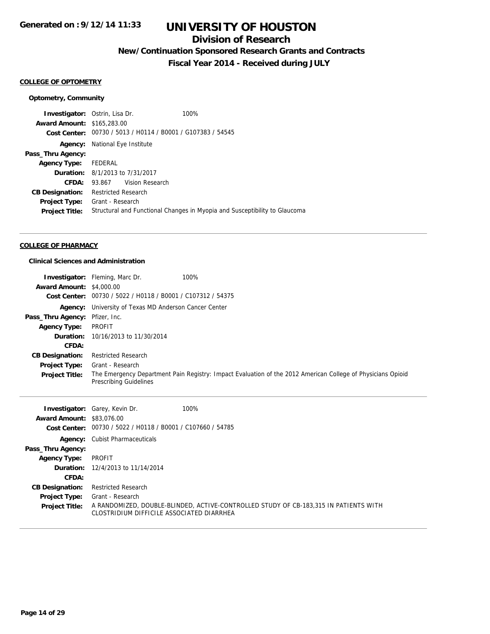## **Division of Research**

**New/Continuation Sponsored Research Grants and Contracts**

**Fiscal Year 2014 - Received during JULY**

#### **COLLEGE OF OPTOMETRY**

#### **Optometry, Community**

**Investigator:** Ostrin, Lisa Dr. 100% **Award Amount:** \$165,283.00 **Cost Center:** 00730 / 5013 / H0114 / B0001 / G107383 / 54545 **Agency:** National Eye Institute **Pass\_Thru Agency: Agency Type:** FEDERAL **Duration:** 8/1/2013 to 7/31/2017 **CFDA:** 93.867 Vision Research **CB Designation:** Restricted Research **Project Type:** Grant - Research **Project Title:** Structural and Functional Changes in Myopia and Susceptibility to Glaucoma

#### **COLLEGE OF PHARMACY**

#### **Clinical Sciences and Administration**

| <b>Award Amount: \$4,000.00</b><br>Cost Center:                                                                                                      | <b>Investigator:</b> Fleming, Marc Dr.<br>00730 / 5022 / H0118 / B0001 / C107312 / 54375                                                                                                      | 100%                                                                                                        |
|------------------------------------------------------------------------------------------------------------------------------------------------------|-----------------------------------------------------------------------------------------------------------------------------------------------------------------------------------------------|-------------------------------------------------------------------------------------------------------------|
| Agency:<br>Pass_Thru Agency:<br><b>Agency Type:</b><br>Duration:<br>CFDA:<br><b>CB Designation:</b><br><b>Project Type:</b><br><b>Project Title:</b> | University of Texas MD Anderson Cancer Center<br>Pfizer, Inc.<br><b>PROFIT</b><br>10/16/2013 to 11/30/2014<br><b>Restricted Research</b><br>Grant - Research<br><b>Prescribing Guidelines</b> | The Emergency Department Pain Registry: Impact Evaluation of the 2012 American College of Physicians Opioid |
| Investigator:<br><b>Award Amount:</b><br><b>Cost Center:</b>                                                                                         | Garey, Kevin Dr.<br>\$83,076.00<br>00730 / 5022 / H0118 / B0001 / C107660 / 54785                                                                                                             | 100%                                                                                                        |
| Agency:<br>Pass_Thru Agency:<br><b>Agency Type:</b><br>Duration:<br>CFDA:                                                                            | <b>Cubist Pharmaceuticals</b><br><b>PROFIT</b><br>12/4/2013 to 11/14/2014                                                                                                                     |                                                                                                             |

**Project Type:** Grant - Research

**CB Designation:** Restricted Research

**Project Title:** A RANDOMIZED, DOUBLE-BLINDED, ACTIVE-CONTROLLED STUDY OF CB-183,315 IN PATIENTS WITH CLOSTRIDIUM DIFFICILE ASSOCIATED DIARRHEA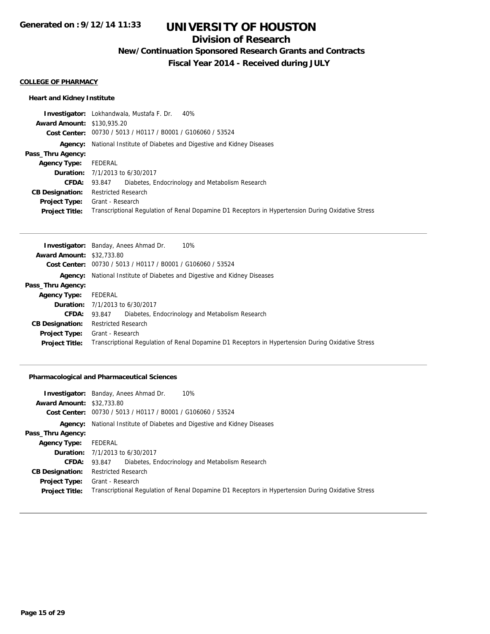# **Division of Research**

**New/Continuation Sponsored Research Grants and Contracts**

**Fiscal Year 2014 - Received during JULY**

#### **COLLEGE OF PHARMACY**

### **Heart and Kidney Institute**

|                                   | <b>Investigator:</b> Lokhandwala, Mustafa F. Dr. 40%                                              |
|-----------------------------------|---------------------------------------------------------------------------------------------------|
| <b>Award Amount: \$130,935.20</b> |                                                                                                   |
|                                   | Cost Center: 00730 / 5013 / H0117 / B0001 / G106060 / 53524                                       |
|                                   | <b>Agency:</b> National Institute of Diabetes and Digestive and Kidney Diseases                   |
| Pass_Thru Agency:                 |                                                                                                   |
| <b>Agency Type:</b>               | FEDERAL                                                                                           |
|                                   | <b>Duration:</b> 7/1/2013 to 6/30/2017                                                            |
| <b>CFDA:</b>                      | Diabetes, Endocrinology and Metabolism Research<br>93.847                                         |
| <b>CB Designation:</b>            | <b>Restricted Research</b>                                                                        |
| <b>Project Type:</b>              | Grant - Research                                                                                  |
| <b>Project Title:</b>             | Transcriptional Regulation of Renal Dopamine D1 Receptors in Hypertension During Oxidative Stress |

|                                  | 10%<br><b>Investigator:</b> Banday, Anees Ahmad Dr.                                               |
|----------------------------------|---------------------------------------------------------------------------------------------------|
| <b>Award Amount: \$32,733.80</b> |                                                                                                   |
|                                  | Cost Center: 00730 / 5013 / H0117 / B0001 / G106060 / 53524                                       |
|                                  | <b>Agency:</b> National Institute of Diabetes and Digestive and Kidney Diseases                   |
| Pass_Thru Agency:                |                                                                                                   |
| <b>Agency Type:</b>              | FEDERAL                                                                                           |
|                                  | <b>Duration:</b> $7/1/2013$ to $6/30/2017$                                                        |
| <b>CFDA:</b>                     | 93.847 Diabetes, Endocrinology and Metabolism Research                                            |
| <b>CB Designation:</b>           | <b>Restricted Research</b>                                                                        |
| <b>Project Type:</b>             | Grant - Research                                                                                  |
| <b>Project Title:</b>            | Transcriptional Regulation of Renal Dopamine D1 Receptors in Hypertension During Oxidative Stress |

### **Pharmacological and Pharmaceutical Sciences**

|                                  | <b>Investigator:</b> Banday, Anees Ahmad Dr.<br>10%                                               |
|----------------------------------|---------------------------------------------------------------------------------------------------|
| <b>Award Amount: \$32,733.80</b> |                                                                                                   |
|                                  | Cost Center: 00730 / 5013 / H0117 / B0001 / G106060 / 53524                                       |
|                                  | <b>Agency:</b> National Institute of Diabetes and Digestive and Kidney Diseases                   |
| Pass_Thru Agency:                |                                                                                                   |
| <b>Agency Type:</b>              | FEDERAL                                                                                           |
|                                  | <b>Duration:</b> 7/1/2013 to 6/30/2017                                                            |
| <b>CFDA:</b>                     | Diabetes, Endocrinology and Metabolism Research<br>93.847                                         |
| <b>CB Designation:</b>           | <b>Restricted Research</b>                                                                        |
|                                  | <b>Project Type:</b> Grant - Research                                                             |
| <b>Project Title:</b>            | Transcriptional Regulation of Renal Dopamine D1 Receptors in Hypertension During Oxidative Stress |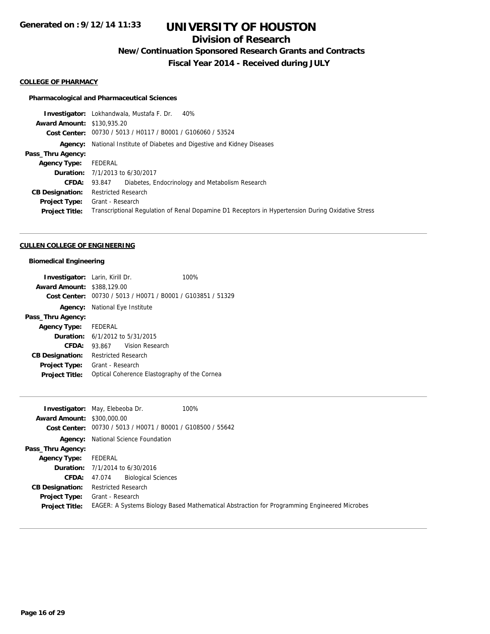# **Division of Research**

**New/Continuation Sponsored Research Grants and Contracts**

**Fiscal Year 2014 - Received during JULY**

#### **COLLEGE OF PHARMACY**

#### **Pharmacological and Pharmaceutical Sciences**

**Investigator:** Lokhandwala, Mustafa F. Dr. 40% **Award Amount:** \$130,935.20 **Cost Center:** 00730 / 5013 / H0117 / B0001 / G106060 / 53524 **Agency:** National Institute of Diabetes and Digestive and Kidney Diseases **Pass\_Thru Agency: Agency Type:** FEDERAL **Duration:** 7/1/2013 to 6/30/2017 **CFDA:** 93.847 Diabetes, Endocrinology and Metabolism Research **CB Designation:** Restricted Research **Project Type:** Grant - Research **Project Title:** Transcriptional Regulation of Renal Dopamine D1 Receptors in Hypertension During Oxidative Stress

#### **CULLEN COLLEGE OF ENGINEERING**

#### **Biomedical Engineering**

| <b>Investigator:</b> Larin, Kirill Dr. |                                                             | 100% |
|----------------------------------------|-------------------------------------------------------------|------|
| <b>Award Amount: \$388,129.00</b>      |                                                             |      |
|                                        | Cost Center: 00730 / 5013 / H0071 / B0001 / G103851 / 51329 |      |
|                                        | <b>Agency:</b> National Eye Institute                       |      |
| Pass_Thru Agency:                      |                                                             |      |
| <b>Agency Type:</b> FEDERAL            |                                                             |      |
|                                        | <b>Duration:</b> $6/1/2012$ to $5/31/2015$                  |      |
| CFDA:                                  | Vision Research<br>93.867                                   |      |
| <b>CB Designation:</b>                 | <b>Restricted Research</b>                                  |      |
| <b>Project Type:</b>                   | Grant - Research                                            |      |
| <b>Project Title:</b>                  | Optical Coherence Elastography of the Cornea                |      |

|                                   | 100%<br><b>Investigator:</b> May, Elebeoba Dr.                                              |
|-----------------------------------|---------------------------------------------------------------------------------------------|
| <b>Award Amount: \$300,000.00</b> |                                                                                             |
|                                   | Cost Center: 00730 / 5013 / H0071 / B0001 / G108500 / 55642                                 |
|                                   | <b>Agency:</b> National Science Foundation                                                  |
| Pass_Thru Agency:                 |                                                                                             |
| <b>Agency Type:</b>               | FEDERAL                                                                                     |
|                                   | <b>Duration:</b> $7/1/2014$ to $6/30/2016$                                                  |
| <b>CFDA: 47.074</b>               | <b>Biological Sciences</b>                                                                  |
| <b>CB Designation:</b>            | <b>Restricted Research</b>                                                                  |
| Project Type:                     | Grant - Research                                                                            |
| <b>Project Title:</b>             | EAGER: A Systems Biology Based Mathematical Abstraction for Programming Engineered Microbes |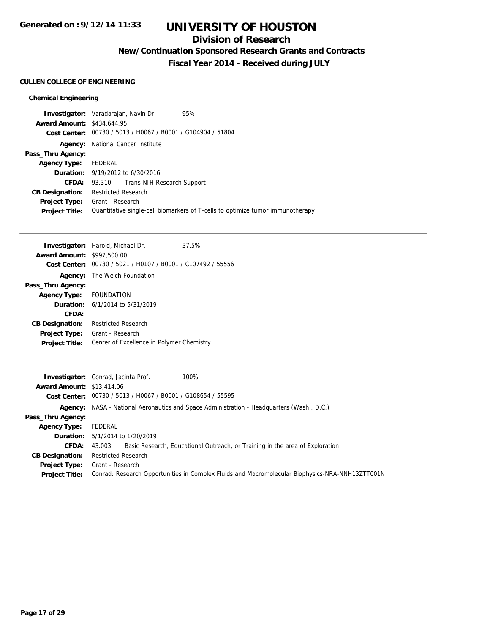## **Division of Research**

**New/Continuation Sponsored Research Grants and Contracts**

**Fiscal Year 2014 - Received during JULY**

### **CULLEN COLLEGE OF ENGINEERING**

### **Chemical Engineering**

| Investigator: Varadarajan, Navin Dr. |                            |                                                             | 95%                                                                            |
|--------------------------------------|----------------------------|-------------------------------------------------------------|--------------------------------------------------------------------------------|
| <b>Award Amount: \$434,644.95</b>    |                            |                                                             |                                                                                |
|                                      |                            | Cost Center: 00730 / 5013 / H0067 / B0001 / G104904 / 51804 |                                                                                |
|                                      |                            | <b>Agency:</b> National Cancer Institute                    |                                                                                |
| Pass_Thru Agency:                    |                            |                                                             |                                                                                |
| <b>Agency Type:</b>                  | FEDERAL                    |                                                             |                                                                                |
|                                      |                            | <b>Duration:</b> 9/19/2012 to 6/30/2016                     |                                                                                |
| <b>CFDA:</b>                         |                            | 93.310 Trans-NIH Research Support                           |                                                                                |
| <b>CB Designation:</b>               | <b>Restricted Research</b> |                                                             |                                                                                |
| <b>Project Type:</b>                 | Grant - Research           |                                                             |                                                                                |
| <b>Project Title:</b>                |                            |                                                             | Quantitative single-cell biomarkers of T-cells to optimize tumor immunotherapy |
|                                      |                            |                                                             |                                                                                |

|                                   | <b>Investigator:</b> Harold, Michael Dr.       | 37.5% |
|-----------------------------------|------------------------------------------------|-------|
| <b>Award Amount: \$997,500.00</b> |                                                |       |
| Cost Center:                      | 00730 / 5021 / H0107 / B0001 / C107492 / 55556 |       |
|                                   | <b>Agency:</b> The Welch Foundation            |       |
| Pass_Thru Agency:                 |                                                |       |
| Agency Type: FOUNDATION           |                                                |       |
|                                   | <b>Duration:</b> $6/1/2014$ to $5/31/2019$     |       |
| CFDA:                             |                                                |       |
| <b>CB Designation:</b>            | <b>Restricted Research</b>                     |       |
| <b>Project Type:</b>              | Grant - Research                               |       |
| <b>Project Title:</b>             | Center of Excellence in Polymer Chemistry      |       |
|                                   |                                                |       |

|                                  | <b>Investigator:</b> Conrad, Jacinta Prof.<br>100%                                              |
|----------------------------------|-------------------------------------------------------------------------------------------------|
| <b>Award Amount: \$13,414.06</b> |                                                                                                 |
|                                  | Cost Center: 00730 / 5013 / H0067 / B0001 / G108654 / 55595                                     |
|                                  | Agency: NASA - National Aeronautics and Space Administration - Headquarters (Wash., D.C.)       |
| Pass_Thru Agency:                |                                                                                                 |
| <b>Agency Type:</b>              | FEDERAL                                                                                         |
|                                  | <b>Duration:</b> 5/1/2014 to 1/20/2019                                                          |
| <b>CFDA:</b>                     | Basic Research, Educational Outreach, or Training in the area of Exploration<br>43.003          |
| <b>CB Designation:</b>           | <b>Restricted Research</b>                                                                      |
| <b>Project Type:</b>             | Grant - Research                                                                                |
| <b>Project Title:</b>            | Conrad: Research Opportunities in Complex Fluids and Macromolecular Biophysics-NRA-NNH13ZTT001N |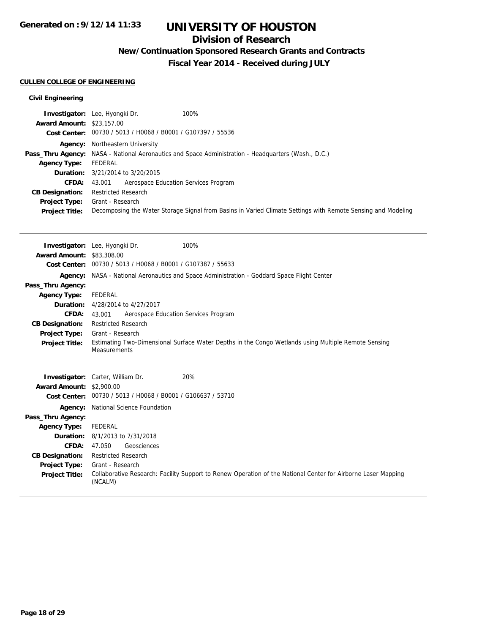## **Division of Research**

**New/Continuation Sponsored Research Grants and Contracts**

**Fiscal Year 2014 - Received during JULY**

### **CULLEN COLLEGE OF ENGINEERING**

### **Civil Engineering**

| <b>Award Amount: \$23,157.00</b> | Investigator: Lee, Hyongki Dr.<br>100%                                                                                            |
|----------------------------------|-----------------------------------------------------------------------------------------------------------------------------------|
|                                  | Cost Center: 00730 / 5013 / H0068 / B0001 / G107397 / 55536                                                                       |
| Agency:                          | Northeastern University                                                                                                           |
| Pass_Thru Agency:                | NASA - National Aeronautics and Space Administration - Headquarters (Wash., D.C.)                                                 |
| <b>Agency Type:</b>              | <b>FEDERAL</b>                                                                                                                    |
| Duration:                        | 3/21/2014 to 3/20/2015                                                                                                            |
| <b>CFDA:</b>                     | 43.001<br>Aerospace Education Services Program                                                                                    |
| <b>CB Designation:</b>           | <b>Restricted Research</b>                                                                                                        |
| <b>Project Type:</b>             | Grant - Research                                                                                                                  |
| <b>Project Title:</b>            | Decomposing the Water Storage Signal from Basins in Varied Climate Settings with Remote Sensing and Modeling                      |
|                                  |                                                                                                                                   |
|                                  |                                                                                                                                   |
|                                  | 100%<br>Investigator: Lee, Hyongki Dr.                                                                                            |
| <b>Award Amount: \$83,308.00</b> |                                                                                                                                   |
|                                  | Cost Center: 00730 / 5013 / H0068 / B0001 / G107387 / 55633                                                                       |
|                                  | Agency: NASA - National Aeronautics and Space Administration - Goddard Space Flight Center                                        |
| Pass_Thru Agency:                |                                                                                                                                   |
| <b>Agency Type:</b>              | <b>FEDERAL</b>                                                                                                                    |
| Duration:                        | 4/28/2014 to 4/27/2017                                                                                                            |
| <b>CFDA:</b>                     | Aerospace Education Services Program<br>43.001                                                                                    |
| <b>CB Designation:</b>           | <b>Restricted Research</b>                                                                                                        |
| Project Type:                    | Grant - Research                                                                                                                  |
| <b>Project Title:</b>            | Estimating Two-Dimensional Surface Water Depths in the Congo Wetlands using Multiple Remote Sensing<br>Measurements               |
|                                  |                                                                                                                                   |
|                                  |                                                                                                                                   |
| <b>Award Amount: \$2,900.00</b>  | 20%<br>Investigator: Carter, William Dr.                                                                                          |
|                                  | Cost Center: 00730 / 5013 / H0068 / B0001 / G106637 / 53710                                                                       |
|                                  |                                                                                                                                   |
| Agency:                          | National Science Foundation                                                                                                       |
| Pass_Thru Agency:                |                                                                                                                                   |
| <b>Agency Type:</b><br>Duration: | <b>FEDERAL</b>                                                                                                                    |
| <b>CFDA:</b>                     | 8/1/2013 to 7/31/2018                                                                                                             |
|                                  | 47.050<br>Geosciences<br><b>Restricted Research</b>                                                                               |
| <b>CB Designation:</b>           |                                                                                                                                   |
| <b>Project Type:</b>             | Grant - Research<br>Collaborative Research: Facility Support to Renew Operation of the National Center for Airborne Laser Mapping |
| <b>Project Title:</b>            | (NCALM)                                                                                                                           |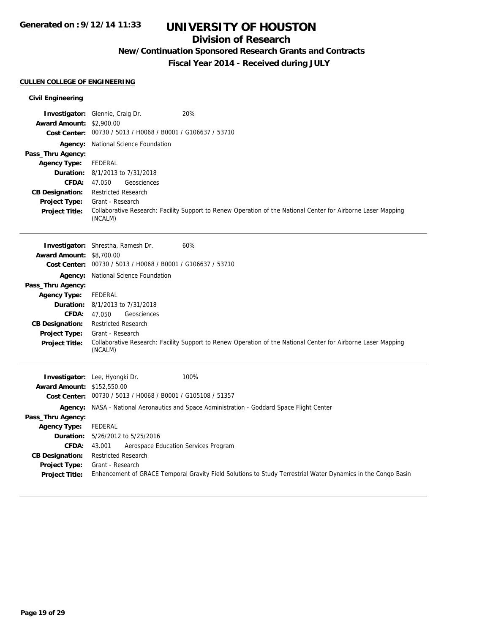## **Division of Research**

**New/Continuation Sponsored Research Grants and Contracts**

**Fiscal Year 2014 - Received during JULY**

### **CULLEN COLLEGE OF ENGINEERING**

### **Civil Engineering**

| <b>Award Amount: \$2,900.00</b>               |                                                                                                                                  |
|-----------------------------------------------|----------------------------------------------------------------------------------------------------------------------------------|
|                                               | Cost Center: 00730 / 5013 / H0068 / B0001 / G106637 / 53710                                                                      |
|                                               | Agency: National Science Foundation                                                                                              |
| Pass_Thru Agency:                             |                                                                                                                                  |
| <b>Agency Type:</b>                           | FEDERAL                                                                                                                          |
|                                               | <b>Duration:</b> 8/1/2013 to 7/31/2018                                                                                           |
| CFDA:                                         | 47.050<br>Geosciences                                                                                                            |
| <b>CB Designation:</b>                        | <b>Restricted Research</b>                                                                                                       |
| Project Type:                                 | Grant - Research                                                                                                                 |
| <b>Project Title:</b>                         | Collaborative Research: Facility Support to Renew Operation of the National Center for Airborne Laser Mapping<br>(NCALM)         |
|                                               |                                                                                                                                  |
|                                               | 60%<br>Investigator: Shrestha, Ramesh Dr.                                                                                        |
| <b>Award Amount: \$8,700.00</b>               |                                                                                                                                  |
|                                               | Cost Center: 00730 / 5013 / H0068 / B0001 / G106637 / 53710                                                                      |
|                                               | Agency: National Science Foundation                                                                                              |
| Pass_Thru Agency:                             |                                                                                                                                  |
| <b>Agency Type:</b>                           | FEDERAL                                                                                                                          |
|                                               |                                                                                                                                  |
|                                               | <b>Duration:</b> 8/1/2013 to 7/31/2018                                                                                           |
| <b>CFDA:</b>                                  | 47.050<br>Geosciences                                                                                                            |
| <b>CB Designation:</b>                        | <b>Restricted Research</b>                                                                                                       |
| <b>Project Type:</b>                          | Grant - Research                                                                                                                 |
| <b>Project Title:</b>                         | Collaborative Research: Facility Support to Renew Operation of the National Center for Airborne Laser Mapping                    |
|                                               | (NCALM)                                                                                                                          |
|                                               |                                                                                                                                  |
|                                               | Investigator: Lee, Hyongki Dr.<br>100%                                                                                           |
| <b>Award Amount: \$152,550.00</b>             | Cost Center: 00730 / 5013 / H0068 / B0001 / G105108 / 51357                                                                      |
|                                               | Agency: NASA - National Aeronautics and Space Administration - Goddard Space Flight Center                                       |
| Pass_Thru Agency:                             |                                                                                                                                  |
| <b>Agency Type:</b>                           | <b>FEDERAL</b>                                                                                                                   |
| Duration:                                     | 5/26/2012 to 5/25/2016                                                                                                           |
| CFDA:                                         | Aerospace Education Services Program<br>43.001                                                                                   |
| <b>CB Designation:</b>                        | <b>Restricted Research</b>                                                                                                       |
| <b>Project Type:</b><br><b>Project Title:</b> | Grant - Research<br>Enhancement of GRACE Temporal Gravity Field Solutions to Study Terrestrial Water Dynamics in the Congo Basin |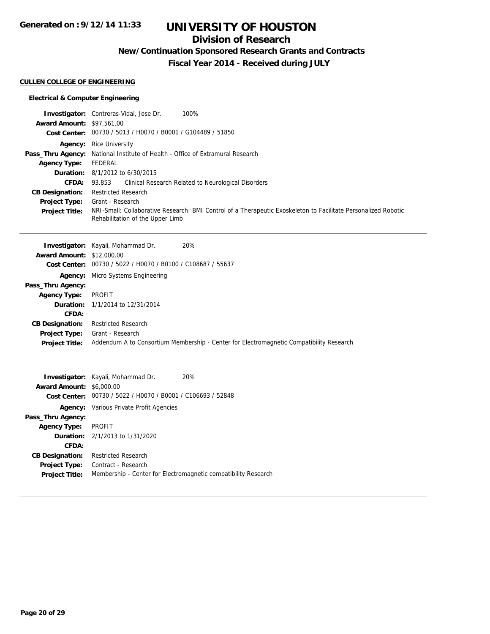## **Division of Research**

**New/Continuation Sponsored Research Grants and Contracts**

**Fiscal Year 2014 - Received during JULY**

### **CULLEN COLLEGE OF ENGINEERING**

### **Electrical & Computer Engineering**

|                                  | 100%<br><b>Investigator:</b> Contreras-Vidal, Jose Dr.                                                         |
|----------------------------------|----------------------------------------------------------------------------------------------------------------|
| <b>Award Amount: \$97,561.00</b> |                                                                                                                |
| <b>Cost Center:</b>              | 00730 / 5013 / H0070 / B0001 / G104489 / 51850                                                                 |
| Agency:                          | <b>Rice University</b>                                                                                         |
| Pass_Thru Agency:                | National Institute of Health - Office of Extramural Research                                                   |
| <b>Agency Type:</b>              | FEDERAL                                                                                                        |
| Duration:                        | 8/1/2012 to 6/30/2015                                                                                          |
| <b>CFDA:</b>                     | Clinical Research Related to Neurological Disorders<br>93.853                                                  |
| <b>CB Designation:</b>           | <b>Restricted Research</b>                                                                                     |
| <b>Project Type:</b>             | Grant - Research                                                                                               |
| <b>Project Title:</b>            | NRI-Small: Collaborative Research: BMI Control of a Therapeutic Exoskeleton to Facilitate Personalized Robotic |
|                                  | Rehabilitation of the Upper Limb                                                                               |
|                                  |                                                                                                                |
|                                  | 20%<br><b>Investigator:</b> Kayali, Mohammad Dr.                                                               |
| <b>Award Amount:</b>             | \$12,000.00                                                                                                    |
| <b>Cost Center:</b>              | 00730 / 5022 / H0070 / B0100 / C108687 / 55637                                                                 |
| Agency:                          | Micro Systems Engineering                                                                                      |
| Pass_Thru Agency:                |                                                                                                                |
| <b>Agency Type:</b>              | <b>PROFIT</b>                                                                                                  |
| Duration:                        | 1/1/2014 to 12/31/2014                                                                                         |
| CFDA:                            |                                                                                                                |
| <b>CB Designation:</b>           | <b>Restricted Research</b>                                                                                     |
| <b>Project Type:</b>             | Grant - Research                                                                                               |
| <b>Project Title:</b>            | Addendum A to Consortium Membership - Center for Electromagnetic Compatibility Research                        |
|                                  |                                                                                                                |
|                                  |                                                                                                                |
|                                  |                                                                                                                |

|                                 | Investigator: Kayali, Mohammad Dr.                          | 20%                                                            |
|---------------------------------|-------------------------------------------------------------|----------------------------------------------------------------|
| <b>Award Amount: \$6,000.00</b> |                                                             |                                                                |
|                                 | Cost Center: 00730 / 5022 / H0070 / B0001 / C106693 / 52848 |                                                                |
|                                 | <b>Agency:</b> Various Private Profit Agencies              |                                                                |
| Pass_Thru Agency:               |                                                             |                                                                |
| <b>Agency Type:</b>             | PROFIT                                                      |                                                                |
|                                 | <b>Duration:</b> 2/1/2013 to 1/31/2020                      |                                                                |
| CFDA:                           |                                                             |                                                                |
| <b>CB Designation:</b>          | <b>Restricted Research</b>                                  |                                                                |
| <b>Project Type:</b>            | Contract - Research                                         |                                                                |
| <b>Project Title:</b>           |                                                             | Membership - Center for Electromagnetic compatibility Research |
|                                 |                                                             |                                                                |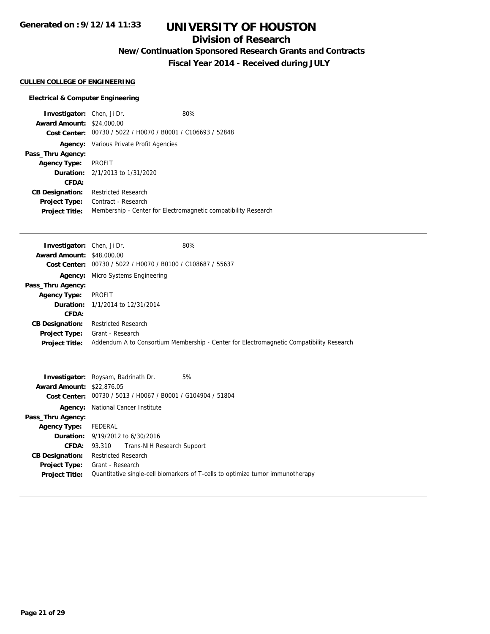# **UNIVERSITY OF HOUSTON**

## **Division of Research**

**New/Continuation Sponsored Research Grants and Contracts**

**Fiscal Year 2014 - Received during JULY**

### **CULLEN COLLEGE OF ENGINEERING**

### **Electrical & Computer Engineering**

| <b>Investigator:</b> Chen, Ji Dr. |                                                             | 80%                                                            |
|-----------------------------------|-------------------------------------------------------------|----------------------------------------------------------------|
| <b>Award Amount: \$24,000.00</b>  |                                                             |                                                                |
|                                   | Cost Center: 00730 / 5022 / H0070 / B0001 / C106693 / 52848 |                                                                |
|                                   | <b>Agency:</b> Various Private Profit Agencies              |                                                                |
| Pass_Thru Agency:                 |                                                             |                                                                |
| <b>Agency Type:</b>               | PROFIT                                                      |                                                                |
|                                   | <b>Duration:</b> 2/1/2013 to 1/31/2020                      |                                                                |
| CFDA:                             |                                                             |                                                                |
| <b>CB Designation:</b>            | <b>Restricted Research</b>                                  |                                                                |
| <b>Project Type:</b>              | Contract - Research                                         |                                                                |
| <b>Project Title:</b>             |                                                             | Membership - Center for Electromagnetic compatibility Research |

| <b>Investigator:</b> Chen, Ji Dr. |                                                             | 80%                                                                                     |
|-----------------------------------|-------------------------------------------------------------|-----------------------------------------------------------------------------------------|
| <b>Award Amount: \$48,000.00</b>  |                                                             |                                                                                         |
|                                   | Cost Center: 00730 / 5022 / H0070 / B0100 / C108687 / 55637 |                                                                                         |
|                                   | <b>Agency:</b> Micro Systems Engineering                    |                                                                                         |
| Pass_Thru Agency:                 |                                                             |                                                                                         |
| <b>Agency Type:</b>               | PROFIT                                                      |                                                                                         |
|                                   | <b>Duration:</b> 1/1/2014 to 12/31/2014                     |                                                                                         |
| CFDA:                             |                                                             |                                                                                         |
| <b>CB Designation:</b>            | <b>Restricted Research</b>                                  |                                                                                         |
|                                   | <b>Project Type:</b> Grant - Research                       |                                                                                         |
| <b>Project Title:</b>             |                                                             | Addendum A to Consortium Membership - Center for Electromagnetic Compatibility Research |

|                                  | <b>Investigator:</b> Roysam, Badrinath Dr.                                     |  | 5% |
|----------------------------------|--------------------------------------------------------------------------------|--|----|
| <b>Award Amount: \$22,876.05</b> |                                                                                |  |    |
|                                  | Cost Center: 00730 / 5013 / H0067 / B0001 / G104904 / 51804                    |  |    |
|                                  | <b>Agency:</b> National Cancer Institute                                       |  |    |
| Pass_Thru Agency:                |                                                                                |  |    |
| <b>Agency Type:</b>              | FEDERAL                                                                        |  |    |
|                                  | <b>Duration:</b> 9/19/2012 to 6/30/2016                                        |  |    |
|                                  | <b>CFDA:</b> 93.310 Trans-NIH Research Support                                 |  |    |
| <b>CB Designation:</b>           | Restricted Research                                                            |  |    |
|                                  | <b>Project Type:</b> Grant - Research                                          |  |    |
| <b>Project Title:</b>            | Quantitative single-cell biomarkers of T-cells to optimize tumor immunotherapy |  |    |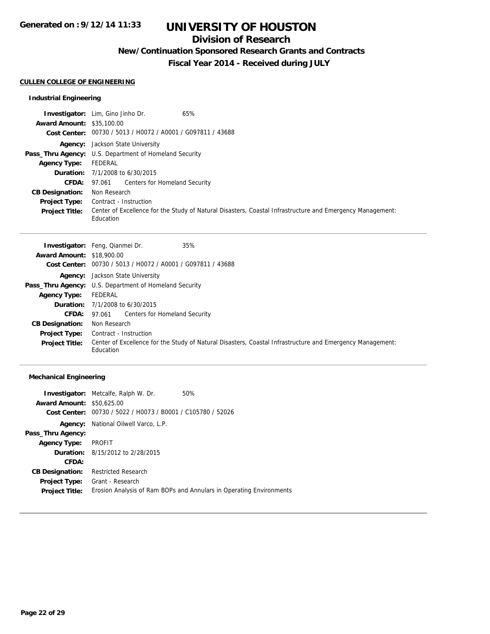## **Division of Research**

**New/Continuation Sponsored Research Grants and Contracts**

**Fiscal Year 2014 - Received during JULY**

#### **CULLEN COLLEGE OF ENGINEERING**

### **Industrial Engineering**

|                                  | 65%<br><b>Investigator:</b> Lim, Gino Jinho Dr.                                                                        |
|----------------------------------|------------------------------------------------------------------------------------------------------------------------|
| <b>Award Amount: \$35,100.00</b> |                                                                                                                        |
|                                  | Cost Center: 00730 / 5013 / H0072 / A0001 / G097811 / 43688                                                            |
|                                  | <b>Agency:</b> Jackson State University                                                                                |
|                                  | <b>Pass_Thru Agency:</b> U.S. Department of Homeland Security                                                          |
| <b>Agency Type:</b>              | FEDERAL                                                                                                                |
|                                  | <b>Duration:</b> 7/1/2008 to 6/30/2015                                                                                 |
|                                  | <b>CFDA:</b> 97.061 Centers for Homeland Security                                                                      |
| <b>CB Designation:</b>           | Non Research                                                                                                           |
| <b>Project Type:</b>             | Contract - Instruction                                                                                                 |
| <b>Project Title:</b>            | Center of Excellence for the Study of Natural Disasters, Coastal Infrastructure and Emergency Management:<br>Education |

|                                  | 35%<br><b>Investigator:</b> Feng, Qianmei Dr.                                                                          |
|----------------------------------|------------------------------------------------------------------------------------------------------------------------|
| <b>Award Amount: \$18,900.00</b> |                                                                                                                        |
|                                  | Cost Center: 00730 / 5013 / H0072 / A0001 / G097811 / 43688                                                            |
|                                  | <b>Agency:</b> Jackson State University                                                                                |
|                                  | <b>Pass_Thru Agency:</b> U.S. Department of Homeland Security                                                          |
| <b>Agency Type:</b>              | FEDERAL                                                                                                                |
|                                  | <b>Duration:</b> $7/1/2008$ to $6/30/2015$                                                                             |
|                                  | <b>CFDA:</b> 97.061 Centers for Homeland Security                                                                      |
| <b>CB Designation:</b>           | Non Research                                                                                                           |
| <b>Project Type:</b>             | Contract - Instruction                                                                                                 |
| <b>Project Title:</b>            | Center of Excellence for the Study of Natural Disasters, Coastal Infrastructure and Emergency Management:<br>Education |

### **Mechanical Engineering**

|                                  | <b>Investigator:</b> Metcalfe, Ralph W. Dr.    | 50%                                                                 |
|----------------------------------|------------------------------------------------|---------------------------------------------------------------------|
| <b>Award Amount: \$50,625.00</b> |                                                |                                                                     |
| Cost Center:                     | 00730 / 5022 / H0073 / B0001 / C105780 / 52026 |                                                                     |
| Agency:                          | National Oilwell Varco, L.P.                   |                                                                     |
| Pass_Thru Agency:                |                                                |                                                                     |
| <b>Agency Type:</b>              | PROFIT                                         |                                                                     |
|                                  | <b>Duration:</b> 8/15/2012 to 2/28/2015        |                                                                     |
| CFDA:                            |                                                |                                                                     |
| <b>CB Designation:</b>           | <b>Restricted Research</b>                     |                                                                     |
| <b>Project Type:</b>             | Grant - Research                               |                                                                     |
| <b>Project Title:</b>            |                                                | Erosion Analysis of Ram BOPs and Annulars in Operating Environments |
|                                  |                                                |                                                                     |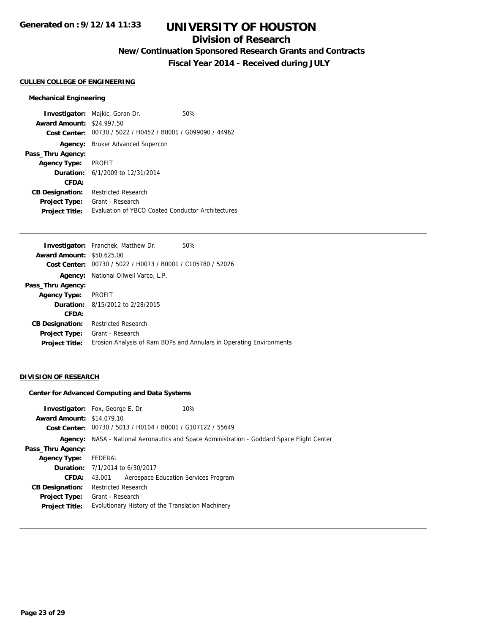## **Division of Research**

**New/Continuation Sponsored Research Grants and Contracts**

**Fiscal Year 2014 - Received during JULY**

#### **CULLEN COLLEGE OF ENGINEERING**

#### **Mechanical Engineering**

**Investigator:** Majkic, Goran Dr. 60% **Award Amount:** \$24,997.50 **Cost Center:** 00730 / 5022 / H0452 / B0001 / G099090 / 44962 **Agency:** Bruker Advanced Supercon **Pass\_Thru Agency: Agency Type:** PROFIT **Duration:** 6/1/2009 to 12/31/2014 **CFDA: CB Designation:** Restricted Research **Project Type:** Grant - Research **Project Title:** Evaluation of YBCO Coated Conductor Architectures

|                                  | <b>Investigator:</b> Franchek, Matthew Dr.<br>50%                   |
|----------------------------------|---------------------------------------------------------------------|
| <b>Award Amount: \$50,625,00</b> |                                                                     |
| Cost Center:                     | 00730 / 5022 / H0073 / B0001 / C105780 / 52026                      |
| Agency:                          | National Oilwell Varco, L.P.                                        |
| Pass_Thru Agency:                |                                                                     |
| <b>Agency Type:</b>              | <b>PROFIT</b>                                                       |
|                                  | <b>Duration:</b> 8/15/2012 to 2/28/2015                             |
| <b>CFDA:</b>                     |                                                                     |
| <b>CB Designation:</b>           | <b>Restricted Research</b>                                          |
| <b>Project Type:</b>             | Grant - Research                                                    |
| <b>Project Title:</b>            | Erosion Analysis of Ram BOPs and Annulars in Operating Environments |
|                                  |                                                                     |

#### **DIVISION OF RESEARCH**

#### **Center for Advanced Computing and Data Systems**

| <b>Award Amount: \$14,079.10</b> | <b>Investigator:</b> Fox, George E. Dr.<br>10%<br>Cost Center: 00730 / 5013 / H0104 / B0001 / G107122 / 55649 |  |  |
|----------------------------------|---------------------------------------------------------------------------------------------------------------|--|--|
| Agency:                          | NASA - National Aeronautics and Space Administration - Goddard Space Flight Center                            |  |  |
| Pass_Thru Agency:                |                                                                                                               |  |  |
| <b>Agency Type:</b>              | FEDERAL                                                                                                       |  |  |
|                                  | <b>Duration:</b> 7/1/2014 to 6/30/2017                                                                        |  |  |
| <b>CFDA:</b>                     | Aerospace Education Services Program<br>43.001                                                                |  |  |
| <b>CB Designation:</b>           | <b>Restricted Research</b>                                                                                    |  |  |
| <b>Project Type:</b>             | Grant - Research                                                                                              |  |  |
| <b>Project Title:</b>            | Evolutionary History of the Translation Machinery                                                             |  |  |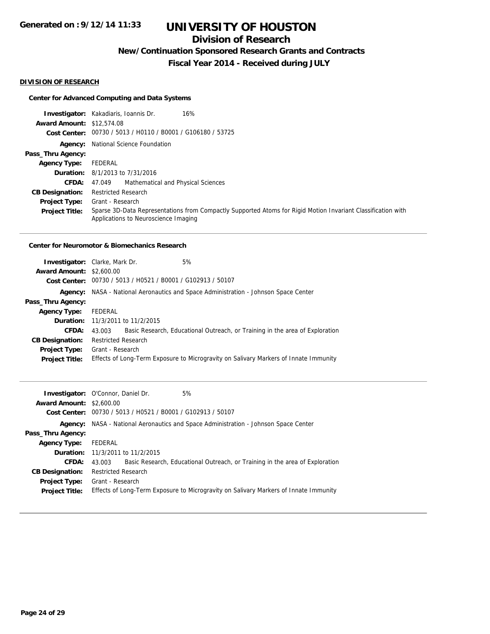# **Division of Research**

**New/Continuation Sponsored Research Grants and Contracts**

**Fiscal Year 2014 - Received during JULY**

#### **DIVISION OF RESEARCH**

### **Center for Advanced Computing and Data Systems**

|                                  | <b>Investigator:</b> Kakadiaris, Ioannis Dr.<br>16%                                                                                                  |
|----------------------------------|------------------------------------------------------------------------------------------------------------------------------------------------------|
| <b>Award Amount: \$12,574.08</b> |                                                                                                                                                      |
|                                  | Cost Center: 00730 / 5013 / H0110 / B0001 / G106180 / 53725                                                                                          |
|                                  | <b>Agency:</b> National Science Foundation                                                                                                           |
| Pass_Thru Agency:                |                                                                                                                                                      |
| <b>Agency Type:</b>              | FEDERAL                                                                                                                                              |
|                                  | <b>Duration:</b> 8/1/2013 to 7/31/2016                                                                                                               |
| <b>CFDA:</b>                     | Mathematical and Physical Sciences<br>47.049                                                                                                         |
| <b>CB Designation:</b>           | <b>Restricted Research</b>                                                                                                                           |
| <b>Project Type:</b>             | Grant - Research                                                                                                                                     |
| <b>Project Title:</b>            | Sparse 3D-Data Representations from Compactly Supported Atoms for Rigid Motion Invariant Classification with<br>Applications to Neuroscience Imaging |

#### **Center for Neuromotor & Biomechanics Research**

| <b>Investigator:</b> Clarke, Mark Dr. |                                         |                                                             | 5%                                                                                   |
|---------------------------------------|-----------------------------------------|-------------------------------------------------------------|--------------------------------------------------------------------------------------|
| <b>Award Amount: \$2,600.00</b>       |                                         |                                                             |                                                                                      |
|                                       |                                         | Cost Center: 00730 / 5013 / H0521 / B0001 / G102913 / 50107 |                                                                                      |
|                                       |                                         |                                                             | Agency: NASA - National Aeronautics and Space Administration - Johnson Space Center  |
| Pass_Thru Agency:                     |                                         |                                                             |                                                                                      |
| <b>Agency Type:</b>                   | FEDERAL                                 |                                                             |                                                                                      |
|                                       | <b>Duration:</b> 11/3/2011 to 11/2/2015 |                                                             |                                                                                      |
| CFDA:                                 | 43.003                                  |                                                             | Basic Research, Educational Outreach, or Training in the area of Exploration         |
| <b>CB Designation:</b>                | <b>Restricted Research</b>              |                                                             |                                                                                      |
|                                       | <b>Project Type:</b> Grant - Research   |                                                             |                                                                                      |
| <b>Project Title:</b>                 |                                         |                                                             | Effects of Long-Term Exposure to Microgravity on Salivary Markers of Innate Immunity |
|                                       |                                         |                                                             |                                                                                      |

|                                 | <b>Investigator:</b> O'Connor, Daniel Dr. | 5%                                                                                         |
|---------------------------------|-------------------------------------------|--------------------------------------------------------------------------------------------|
| <b>Award Amount: \$2,600.00</b> |                                           |                                                                                            |
|                                 |                                           | Cost Center: 00730 / 5013 / H0521 / B0001 / G102913 / 50107                                |
|                                 |                                           | <b>Agency:</b> NASA - National Aeronautics and Space Administration - Johnson Space Center |
| Pass_Thru Agency:               |                                           |                                                                                            |
| <b>Agency Type:</b>             | FEDERAL                                   |                                                                                            |
|                                 | <b>Duration:</b> 11/3/2011 to 11/2/2015   |                                                                                            |
| CFDA:                           | 43.003                                    | Basic Research, Educational Outreach, or Training in the area of Exploration               |
| <b>CB Designation:</b>          | <b>Restricted Research</b>                |                                                                                            |
| Project Type:                   | Grant - Research                          |                                                                                            |
| <b>Project Title:</b>           |                                           | Effects of Long-Term Exposure to Microgravity on Salivary Markers of Innate Immunity       |
|                                 |                                           |                                                                                            |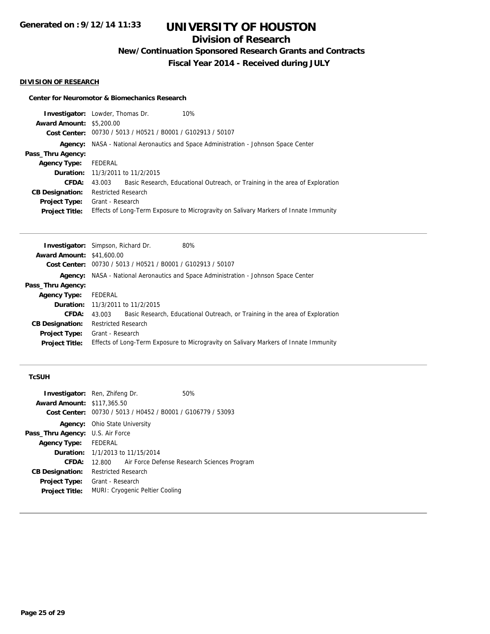## **Division of Research**

**New/Continuation Sponsored Research Grants and Contracts**

**Fiscal Year 2014 - Received during JULY**

#### **DIVISION OF RESEARCH**

#### **Center for Neuromotor & Biomechanics Research**

| <b>Investigator:</b> Lowder, Thomas Dr.                                              | 10%                                                                          |  |
|--------------------------------------------------------------------------------------|------------------------------------------------------------------------------|--|
| <b>Award Amount: \$5,200.00</b>                                                      |                                                                              |  |
| Cost Center: 00730 / 5013 / H0521 / B0001 / G102913 / 50107                          |                                                                              |  |
| Agency: NASA - National Aeronautics and Space Administration - Johnson Space Center  |                                                                              |  |
|                                                                                      |                                                                              |  |
| FEDERAL                                                                              |                                                                              |  |
| <b>Duration:</b> 11/3/2011 to 11/2/2015                                              |                                                                              |  |
| 43.003                                                                               | Basic Research, Educational Outreach, or Training in the area of Exploration |  |
| <b>Restricted Research</b>                                                           |                                                                              |  |
| Grant - Research                                                                     |                                                                              |  |
| Effects of Long-Term Exposure to Microgravity on Salivary Markers of Innate Immunity |                                                                              |  |
| <b>Project Type:</b>                                                                 |                                                                              |  |

|                                  | <b>Investigator:</b> Simpson, Richard Dr.                                           |  | 80%                                                                                  |
|----------------------------------|-------------------------------------------------------------------------------------|--|--------------------------------------------------------------------------------------|
| <b>Award Amount: \$41,600.00</b> |                                                                                     |  |                                                                                      |
|                                  | Cost Center: 00730 / 5013 / H0521 / B0001 / G102913 / 50107                         |  |                                                                                      |
|                                  | Agency: NASA - National Aeronautics and Space Administration - Johnson Space Center |  |                                                                                      |
| Pass_Thru Agency:                |                                                                                     |  |                                                                                      |
| <b>Agency Type:</b>              | FEDERAL                                                                             |  |                                                                                      |
|                                  | <b>Duration:</b> 11/3/2011 to 11/2/2015                                             |  |                                                                                      |
| <b>CFDA:</b>                     | 43.003                                                                              |  | Basic Research, Educational Outreach, or Training in the area of Exploration         |
| <b>CB Designation:</b>           | <b>Restricted Research</b>                                                          |  |                                                                                      |
| <b>Project Type:</b>             | Grant - Research                                                                    |  |                                                                                      |
| <b>Project Title:</b>            |                                                                                     |  | Effects of Long-Term Exposure to Microgravity on Salivary Markers of Innate Immunity |
|                                  |                                                                                     |  |                                                                                      |

### **TcSUH**

|                                         | <b>Investigator:</b> Ren, Zhifeng Dr.          | 50%                                         |  |
|-----------------------------------------|------------------------------------------------|---------------------------------------------|--|
| <b>Award Amount: \$117,365.50</b>       |                                                |                                             |  |
| Cost Center:                            | 00730 / 5013 / H0452 / B0001 / G106779 / 53093 |                                             |  |
|                                         | <b>Agency:</b> Ohio State University           |                                             |  |
| <b>Pass_Thru Agency:</b> U.S. Air Force |                                                |                                             |  |
| <b>Agency Type:</b>                     | FEDERAL                                        |                                             |  |
|                                         | <b>Duration:</b> 1/1/2013 to 11/15/2014        |                                             |  |
| CFDA:                                   | 12.800                                         | Air Force Defense Research Sciences Program |  |
| <b>CB Designation:</b>                  | <b>Restricted Research</b>                     |                                             |  |
| <b>Project Type:</b>                    | Grant - Research                               |                                             |  |
| <b>Project Title:</b>                   | MURI: Cryogenic Peltier Cooling                |                                             |  |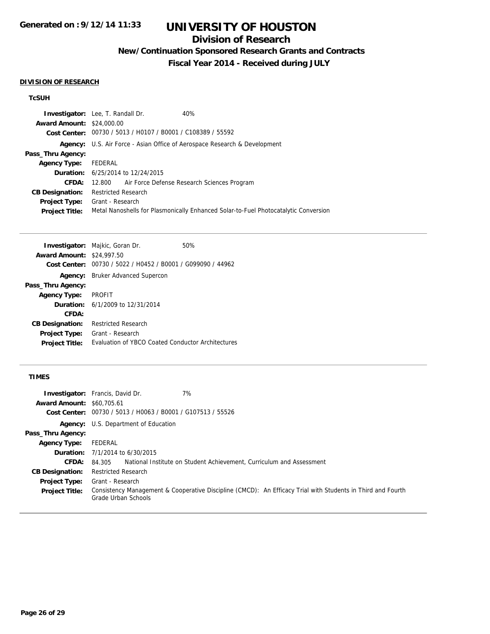## **Division of Research**

**New/Continuation Sponsored Research Grants and Contracts**

**Fiscal Year 2014 - Received during JULY**

#### **DIVISION OF RESEARCH**

## **TcSUH**

| <b>Award Amount: \$24,000.00</b><br>Cost Center: 00730 / 5013 / H0107 / B0001 / C108389 / 55592              |                                                                                  |  |  |
|--------------------------------------------------------------------------------------------------------------|----------------------------------------------------------------------------------|--|--|
|                                                                                                              |                                                                                  |  |  |
|                                                                                                              |                                                                                  |  |  |
|                                                                                                              | <b>Agency:</b> U.S. Air Force - Asian Office of Aerospace Research & Development |  |  |
| Pass_Thru Agency:                                                                                            |                                                                                  |  |  |
| FEDERAL<br><b>Agency Type:</b>                                                                               |                                                                                  |  |  |
| <b>Duration:</b> 6/25/2014 to 12/24/2015                                                                     |                                                                                  |  |  |
| 12.800 Air Force Defense Research Sciences Program<br>CFDA:                                                  |                                                                                  |  |  |
| <b>Restricted Research</b><br><b>CB Designation:</b>                                                         |                                                                                  |  |  |
| Grant - Research<br><b>Project Type:</b>                                                                     |                                                                                  |  |  |
| Metal Nanoshells for Plasmonically Enhanced Solar-to-Fuel Photocatalytic Conversion<br><b>Project Title:</b> |                                                                                  |  |  |

|                                  | <b>Investigator:</b> Majkic, Goran Dr.            | 50% |
|----------------------------------|---------------------------------------------------|-----|
| <b>Award Amount: \$24,997.50</b> |                                                   |     |
| Cost Center:                     | 00730 / 5022 / H0452 / B0001 / G099090 / 44962    |     |
|                                  | <b>Agency:</b> Bruker Advanced Supercon           |     |
| Pass_Thru Agency:                |                                                   |     |
| <b>Agency Type:</b>              | <b>PROFIT</b>                                     |     |
|                                  | <b>Duration:</b> $6/1/2009$ to $12/31/2014$       |     |
| CFDA:                            |                                                   |     |
| <b>CB Designation:</b>           | <b>Restricted Research</b>                        |     |
| <b>Project Type:</b>             | Grant - Research                                  |     |
| <b>Project Title:</b>            | Evaluation of YBCO Coated Conductor Architectures |     |

### **TIMES**

|                        | 7%<br><b>Investigator:</b> Francis, David Dr.                                                                                      |  |
|------------------------|------------------------------------------------------------------------------------------------------------------------------------|--|
| <b>Award Amount:</b>   | \$60,705.61                                                                                                                        |  |
| <b>Cost Center:</b>    | 00730 / 5013 / H0063 / B0001 / G107513 / 55526                                                                                     |  |
|                        | <b>Agency:</b> U.S. Department of Education                                                                                        |  |
| Pass_Thru Agency:      |                                                                                                                                    |  |
| <b>Agency Type:</b>    | FEDERAL                                                                                                                            |  |
|                        | <b>Duration:</b> $7/1/2014$ to $6/30/2015$                                                                                         |  |
| CFDA:                  | National Institute on Student Achievement, Curriculum and Assessment<br>84.305                                                     |  |
| <b>CB Designation:</b> | <b>Restricted Research</b>                                                                                                         |  |
| <b>Project Type:</b>   | Grant - Research                                                                                                                   |  |
| <b>Project Title:</b>  | Consistency Management & Cooperative Discipline (CMCD): An Efficacy Trial with Students in Third and Fourth<br>Grade Urban Schools |  |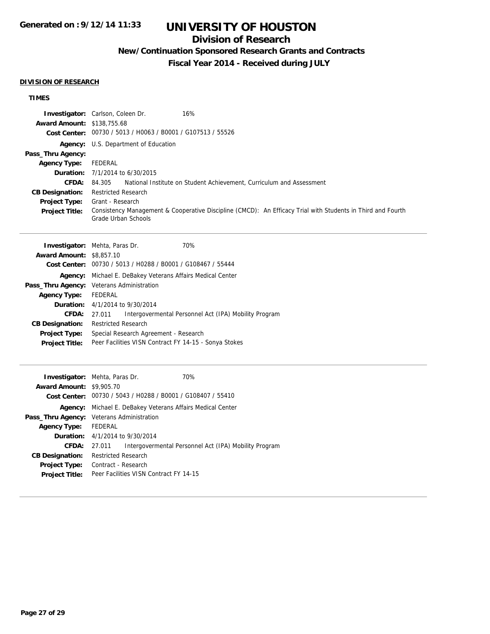# **UNIVERSITY OF HOUSTON**

## **Division of Research**

**New/Continuation Sponsored Research Grants and Contracts**

**Fiscal Year 2014 - Received during JULY**

#### **DIVISION OF RESEARCH**

## **TIMES**

|                                   | 16%<br><b>Investigator:</b> Carlson, Coleen Dr.                                                                                    |
|-----------------------------------|------------------------------------------------------------------------------------------------------------------------------------|
| <b>Award Amount: \$138,755.68</b> |                                                                                                                                    |
|                                   | Cost Center: 00730 / 5013 / H0063 / B0001 / G107513 / 55526                                                                        |
|                                   | <b>Agency:</b> U.S. Department of Education                                                                                        |
| Pass_Thru Agency:                 |                                                                                                                                    |
| <b>Agency Type:</b>               | FEDERAL                                                                                                                            |
|                                   | <b>Duration:</b> $7/1/2014$ to $6/30/2015$                                                                                         |
| <b>CFDA:</b>                      | 84.305 • National Institute on Student Achievement, Curriculum and Assessment                                                      |
| <b>CB Designation:</b>            | <b>Restricted Research</b>                                                                                                         |
| <b>Project Type:</b>              | Grant - Research                                                                                                                   |
| <b>Project Title:</b>             | Consistency Management & Cooperative Discipline (CMCD): An Efficacy Trial with Students in Third and Fourth<br>Grade Urban Schools |

| <b>Investigator:</b> Mehta, Paras Dr. |                                                             |  | 70%                                                   |
|---------------------------------------|-------------------------------------------------------------|--|-------------------------------------------------------|
| <b>Award Amount: \$8,857.10</b>       |                                                             |  |                                                       |
|                                       | Cost Center: 00730 / 5013 / H0288 / B0001 / G108467 / 55444 |  |                                                       |
| Agency:                               | Michael E. DeBakey Veterans Affairs Medical Center          |  |                                                       |
|                                       | Pass_Thru Agency: Veterans Administration                   |  |                                                       |
| <b>Agency Type:</b>                   | FEDERAL                                                     |  |                                                       |
|                                       | <b>Duration:</b> 4/1/2014 to 9/30/2014                      |  |                                                       |
| <b>CFDA:</b>                          | 27.011                                                      |  | Intergovermental Personnel Act (IPA) Mobility Program |
| <b>CB Designation:</b>                | <b>Restricted Research</b>                                  |  |                                                       |
| <b>Project Type:</b>                  | Special Research Agreement - Research                       |  |                                                       |
| <b>Project Title:</b>                 | Peer Facilities VISN Contract FY 14-15 - Sonya Stokes       |  |                                                       |
|                                       |                                                             |  |                                                       |

| <b>Investigator:</b> Mehta, Paras Dr. |                                                             |  | 70%                                                   |
|---------------------------------------|-------------------------------------------------------------|--|-------------------------------------------------------|
| <b>Award Amount: \$9,905.70</b>       |                                                             |  |                                                       |
|                                       | Cost Center: 00730 / 5043 / H0288 / B0001 / G108407 / 55410 |  |                                                       |
| Agency:                               | Michael E. DeBakey Veterans Affairs Medical Center          |  |                                                       |
| Pass_Thru Agency:                     | Veterans Administration                                     |  |                                                       |
| <b>Agency Type:</b>                   | FEDERAL                                                     |  |                                                       |
|                                       | <b>Duration:</b> 4/1/2014 to 9/30/2014                      |  |                                                       |
| CFDA:                                 | 27.011                                                      |  | Intergovermental Personnel Act (IPA) Mobility Program |
| <b>CB Designation:</b>                | <b>Restricted Research</b>                                  |  |                                                       |
| <b>Project Type:</b>                  | Contract - Research                                         |  |                                                       |
| <b>Project Title:</b>                 | Peer Facilities VISN Contract FY 14-15                      |  |                                                       |
|                                       |                                                             |  |                                                       |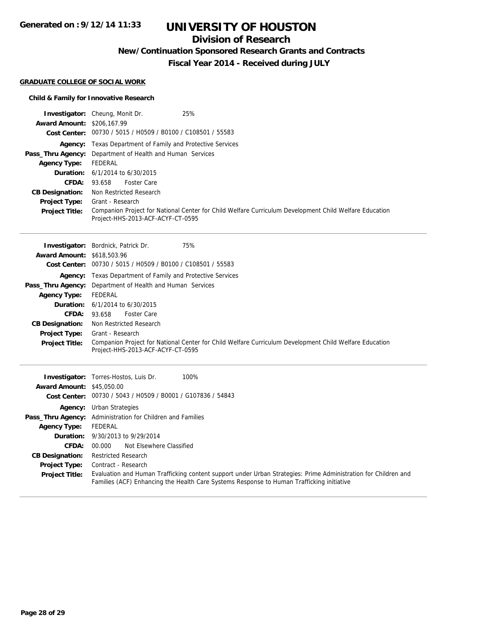# **UNIVERSITY OF HOUSTON**

## **Division of Research**

**New/Continuation Sponsored Research Grants and Contracts**

**Fiscal Year 2014 - Received during JULY**

#### **GRADUATE COLLEGE OF SOCIAL WORK**

### **Child & Family for Innovative Research**

| <b>Award Amount: \$206,167.99</b>             | <b>Investigator:</b> Cheung, Monit Dr.<br>25%                                                                                                                                                               |  |  |
|-----------------------------------------------|-------------------------------------------------------------------------------------------------------------------------------------------------------------------------------------------------------------|--|--|
|                                               | Cost Center: 00730 / 5015 / H0509 / B0100 / C108501 / 55583                                                                                                                                                 |  |  |
| Pass_Thru Agency:<br><b>Agency Type:</b>      | Agency: Texas Department of Family and Protective Services<br>Department of Health and Human Services<br><b>FEDERAL</b>                                                                                     |  |  |
| Duration:                                     | 6/1/2014 to 6/30/2015                                                                                                                                                                                       |  |  |
| <b>CFDA:</b>                                  | 93.658<br><b>Foster Care</b>                                                                                                                                                                                |  |  |
| <b>CB Designation:</b>                        | Non Restricted Research                                                                                                                                                                                     |  |  |
| Project Type:                                 | Grant - Research                                                                                                                                                                                            |  |  |
| <b>Project Title:</b>                         | Companion Project for National Center for Child Welfare Curriculum Development Child Welfare Education<br>Project-HHS-2013-ACF-ACYF-CT-0595                                                                 |  |  |
|                                               | 75%<br><b>Investigator:</b> Bordnick, Patrick Dr.                                                                                                                                                           |  |  |
| <b>Award Amount: \$618,503.96</b>             | Cost Center: 00730 / 5015 / H0509 / B0100 / C108501 / 55583                                                                                                                                                 |  |  |
|                                               |                                                                                                                                                                                                             |  |  |
|                                               | <b>Agency:</b> Texas Department of Family and Protective Services                                                                                                                                           |  |  |
| Pass_Thru Agency:                             | Department of Health and Human Services                                                                                                                                                                     |  |  |
| <b>Agency Type:</b>                           | <b>FEDERAL</b>                                                                                                                                                                                              |  |  |
| Duration:                                     | 6/1/2014 to 6/30/2015                                                                                                                                                                                       |  |  |
| <b>CFDA:</b>                                  | 93.658<br><b>Foster Care</b>                                                                                                                                                                                |  |  |
| <b>CB Designation:</b>                        | Non Restricted Research                                                                                                                                                                                     |  |  |
| <b>Project Type:</b><br><b>Project Title:</b> | Grant - Research<br>Companion Project for National Center for Child Welfare Curriculum Development Child Welfare Education                                                                                  |  |  |
|                                               | Project-HHS-2013-ACF-ACYF-CT-0595                                                                                                                                                                           |  |  |
|                                               |                                                                                                                                                                                                             |  |  |
|                                               | <b>Investigator:</b> Torres-Hostos, Luis Dr.<br>100%                                                                                                                                                        |  |  |
| <b>Award Amount: \$45,050.00</b>              |                                                                                                                                                                                                             |  |  |
|                                               | Cost Center: 00730 / 5043 / H0509 / B0001 / G107836 / 54843                                                                                                                                                 |  |  |
|                                               | <b>Agency:</b> Urban Strategies                                                                                                                                                                             |  |  |
|                                               | Pass_Thru Agency: Administration for Children and Families                                                                                                                                                  |  |  |
| <b>Agency Type:</b>                           | <b>FEDERAL</b>                                                                                                                                                                                              |  |  |
| Duration:                                     | 9/30/2013 to 9/29/2014                                                                                                                                                                                      |  |  |
| <b>CFDA:</b>                                  | Not Elsewhere Classified<br>00.000                                                                                                                                                                          |  |  |
| <b>CB Designation:</b>                        | <b>Restricted Research</b>                                                                                                                                                                                  |  |  |
| <b>Project Type:</b>                          | Contract - Research                                                                                                                                                                                         |  |  |
| <b>Project Title:</b>                         | Evaluation and Human Trafficking content support under Urban Strategies: Prime Administration for Children and<br>Families (ACF) Enhancing the Health Care Systems Response to Human Trafficking initiative |  |  |